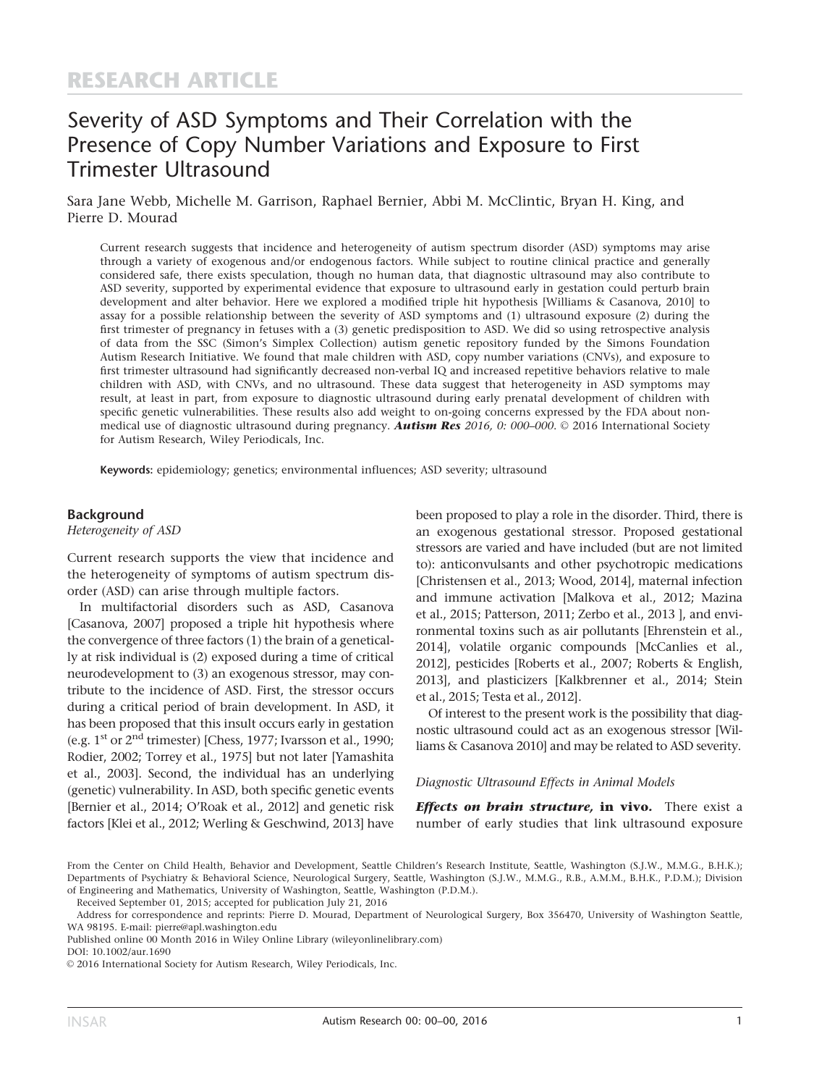# Severity of ASD Symptoms and Their Correlation with the Presence of Copy Number Variations and Exposure to First Trimester Ultrasound

Sara Jane Webb, Michelle M. Garrison, Raphael Bernier, Abbi M. McClintic, Bryan H. King, and Pierre D. Mourad

Current research suggests that incidence and heterogeneity of autism spectrum disorder (ASD) symptoms may arise through a variety of exogenous and/or endogenous factors. While subject to routine clinical practice and generally considered safe, there exists speculation, though no human data, that diagnostic ultrasound may also contribute to ASD severity, supported by experimental evidence that exposure to ultrasound early in gestation could perturb brain development and alter behavior. Here we explored a modified triple hit hypothesis [Williams & Casanova, 2010] to assay for a possible relationship between the severity of ASD symptoms and (1) ultrasound exposure (2) during the first trimester of pregnancy in fetuses with a (3) genetic predisposition to ASD. We did so using retrospective analysis of data from the SSC (Simon's Simplex Collection) autism genetic repository funded by the Simons Foundation Autism Research Initiative. We found that male children with ASD, copy number variations (CNVs), and exposure to first trimester ultrasound had significantly decreased non-verbal IQ and increased repetitive behaviors relative to male children with ASD, with CNVs, and no ultrasound. These data suggest that heterogeneity in ASD symptoms may result, at least in part, from exposure to diagnostic ultrasound during early prenatal development of children with specific genetic vulnerabilities. These results also add weight to on-going concerns expressed by the FDA about nonmedical use of diagnostic ultrasound during pregnancy. **Autism Res** 2016, 0: 000–000.  $\odot$  2016 International Society for Autism Research, Wiley Periodicals, Inc.

Keywords: epidemiology; genetics; environmental influences; ASD severity; ultrasound

#### Background

Heterogeneity of ASD

Current research supports the view that incidence and the heterogeneity of symptoms of autism spectrum disorder (ASD) can arise through multiple factors.

In multifactorial disorders such as ASD, Casanova [Casanova, 2007] proposed a triple hit hypothesis where the convergence of three factors (1) the brain of a genetically at risk individual is (2) exposed during a time of critical neurodevelopment to (3) an exogenous stressor, may contribute to the incidence of ASD. First, the stressor occurs during a critical period of brain development. In ASD, it has been proposed that this insult occurs early in gestation (e.g.  $1<sup>st</sup>$  or  $2<sup>nd</sup>$  trimester) [Chess, 1977; Ivarsson et al., 1990; Rodier, 2002; Torrey et al., 1975] but not later [Yamashita et al., 2003]. Second, the individual has an underlying (genetic) vulnerability. In ASD, both specific genetic events [Bernier et al., 2014; O'Roak et al., 2012] and genetic risk factors [Klei et al., 2012; Werling & Geschwind, 2013] have

been proposed to play a role in the disorder. Third, there is an exogenous gestational stressor. Proposed gestational stressors are varied and have included (but are not limited to): anticonvulsants and other psychotropic medications [Christensen et al., 2013; Wood, 2014], maternal infection and immune activation [Malkova et al., 2012; Mazina et al., 2015; Patterson, 2011; Zerbo et al., 2013 ], and environmental toxins such as air pollutants [Ehrenstein et al., 2014], volatile organic compounds [McCanlies et al., 2012], pesticides [Roberts et al., 2007; Roberts & English, 2013], and plasticizers [Kalkbrenner et al., 2014; Stein et al., 2015; Testa et al., 2012].

Of interest to the present work is the possibility that diagnostic ultrasound could act as an exogenous stressor [Williams & Casanova 2010] and may be related to ASD severity.

#### Diagnostic Ultrasound Effects in Animal Models

**Effects on brain structure, in vivo.** There exist a number of early studies that link ultrasound exposure

From the Center on Child Health, Behavior and Development, Seattle Children's Research Institute, Seattle, Washington (S.J.W., M.M.G., B.H.K.); Departments of Psychiatry & Behavioral Science, Neurological Surgery, Seattle, Washington (S.J.W., M.M.G., R.B., A.M.M., B.H.K., P.D.M.); Division of Engineering and Mathematics, University of Washington, Seattle, Washington (P.D.M.).

Received September 01, 2015; accepted for publication July 21, 2016

Address for correspondence and reprints: Pierre D. Mourad, Department of Neurological Surgery, Box 356470, University of Washington Seattle, WA 98195. E-mail: pierre@apl.washington.edu

Published online 00 Month 2016 in Wiley Online Library (wileyonlinelibrary.com)

DOI: 10.1002/aur.1690

 $©$  2016 International Society for Autism Research, Wiley Periodicals, Inc.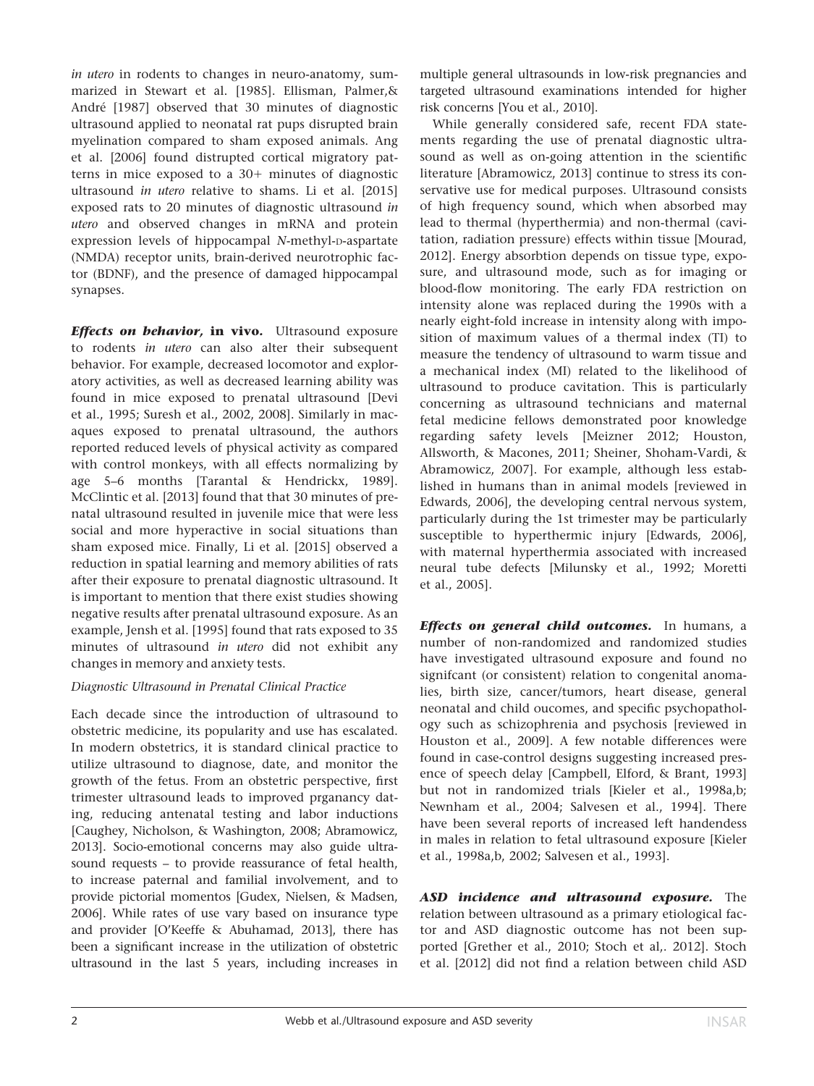in utero in rodents to changes in neuro-anatomy, summarized in Stewart et al. [1985]. Ellisman, Palmer,& André [1987] observed that 30 minutes of diagnostic ultrasound applied to neonatal rat pups disrupted brain myelination compared to sham exposed animals. Ang et al. [2006] found distrupted cortical migratory patterns in mice exposed to a  $30+$  minutes of diagnostic ultrasound in utero relative to shams. Li et al. [2015] exposed rats to 20 minutes of diagnostic ultrasound in utero and observed changes in mRNA and protein expression levels of hippocampal N-methyl-D-aspartate (NMDA) receptor units, brain-derived neurotrophic factor (BDNF), and the presence of damaged hippocampal synapses.

**Effects on behavior, in vivo.** Ultrasound exposure to rodents in utero can also alter their subsequent behavior. For example, decreased locomotor and exploratory activities, as well as decreased learning ability was found in mice exposed to prenatal ultrasound [Devi et al., 1995; Suresh et al., 2002, 2008]. Similarly in macaques exposed to prenatal ultrasound, the authors reported reduced levels of physical activity as compared with control monkeys, with all effects normalizing by age 5–6 months [Tarantal & Hendrickx, 1989]. McClintic et al. [2013] found that that 30 minutes of prenatal ultrasound resulted in juvenile mice that were less social and more hyperactive in social situations than sham exposed mice. Finally, Li et al. [2015] observed a reduction in spatial learning and memory abilities of rats after their exposure to prenatal diagnostic ultrasound. It is important to mention that there exist studies showing negative results after prenatal ultrasound exposure. As an example, Jensh et al. [1995] found that rats exposed to 35 minutes of ultrasound in utero did not exhibit any changes in memory and anxiety tests.

# Diagnostic Ultrasound in Prenatal Clinical Practice

Each decade since the introduction of ultrasound to obstetric medicine, its popularity and use has escalated. In modern obstetrics, it is standard clinical practice to utilize ultrasound to diagnose, date, and monitor the growth of the fetus. From an obstetric perspective, first trimester ultrasound leads to improved prganancy dating, reducing antenatal testing and labor inductions [Caughey, Nicholson, & Washington, 2008; Abramowicz, 2013]. Socio-emotional concerns may also guide ultrasound requests – to provide reassurance of fetal health, to increase paternal and familial involvement, and to provide pictorial momentos [Gudex, Nielsen, & Madsen, 2006]. While rates of use vary based on insurance type and provider [O'Keeffe & Abuhamad, 2013], there has been a significant increase in the utilization of obstetric ultrasound in the last 5 years, including increases in

multiple general ultrasounds in low-risk pregnancies and targeted ultrasound examinations intended for higher risk concerns [You et al., 2010].

While generally considered safe, recent FDA statements regarding the use of prenatal diagnostic ultrasound as well as on-going attention in the scientific literature [Abramowicz, 2013] continue to stress its conservative use for medical purposes. Ultrasound consists of high frequency sound, which when absorbed may lead to thermal (hyperthermia) and non-thermal (cavitation, radiation pressure) effects within tissue [Mourad, 2012]. Energy absorbtion depends on tissue type, exposure, and ultrasound mode, such as for imaging or blood-flow monitoring. The early FDA restriction on intensity alone was replaced during the 1990s with a nearly eight-fold increase in intensity along with imposition of maximum values of a thermal index (TI) to measure the tendency of ultrasound to warm tissue and a mechanical index (MI) related to the likelihood of ultrasound to produce cavitation. This is particularly concerning as ultrasound technicians and maternal fetal medicine fellows demonstrated poor knowledge regarding safety levels [Meizner 2012; Houston, Allsworth, & Macones, 2011; Sheiner, Shoham-Vardi, & Abramowicz, 2007]. For example, although less established in humans than in animal models [reviewed in Edwards, 2006], the developing central nervous system, particularly during the 1st trimester may be particularly susceptible to hyperthermic injury [Edwards, 2006], with maternal hyperthermia associated with increased neural tube defects [Milunsky et al., 1992; Moretti et al., 2005].

**Effects on general child outcomes.** In humans, a number of non-randomized and randomized studies have investigated ultrasound exposure and found no signifcant (or consistent) relation to congenital anomalies, birth size, cancer/tumors, heart disease, general neonatal and child oucomes, and specific psychopathology such as schizophrenia and psychosis [reviewed in Houston et al., 2009]. A few notable differences were found in case-control designs suggesting increased presence of speech delay [Campbell, Elford, & Brant, 1993] but not in randomized trials [Kieler et al., 1998a,b; Newnham et al., 2004; Salvesen et al., 1994]. There have been several reports of increased left handendess in males in relation to fetal ultrasound exposure [Kieler et al., 1998a,b, 2002; Salvesen et al., 1993].

ASD incidence and ultrasound exposure. The relation between ultrasound as a primary etiological factor and ASD diagnostic outcome has not been supported [Grether et al., 2010; Stoch et al,. 2012]. Stoch et al. [2012] did not find a relation between child ASD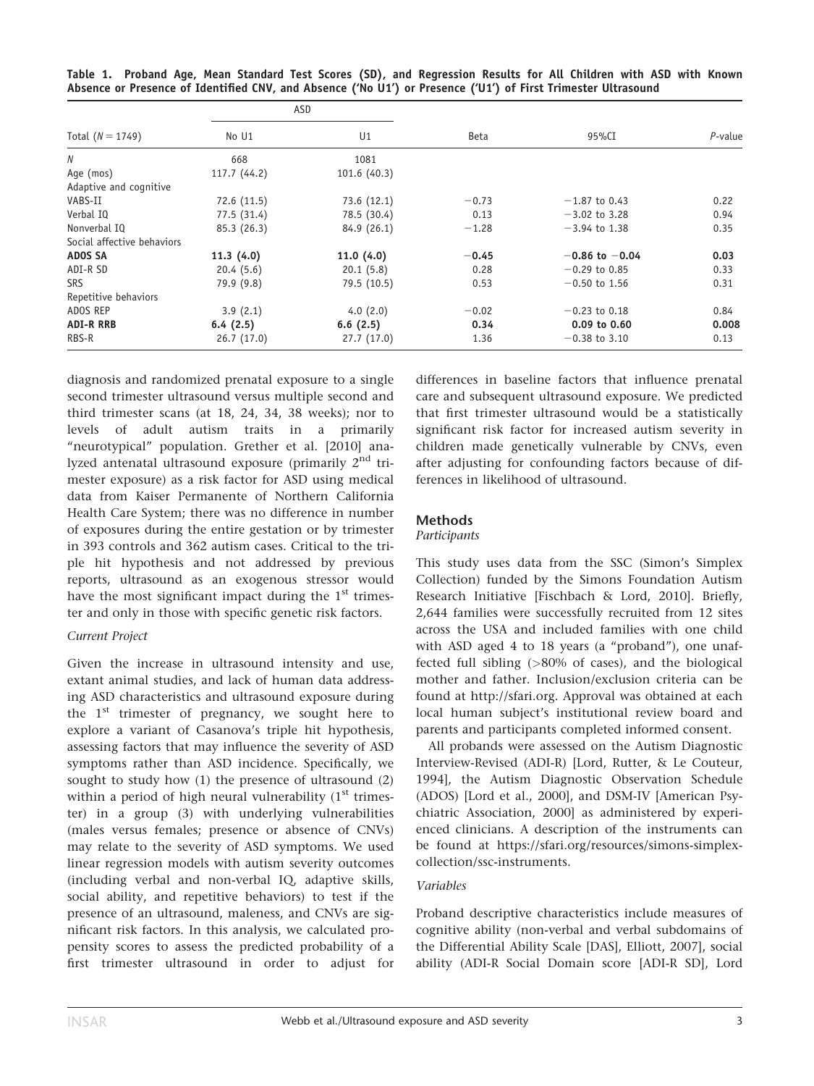|  | Table 1. Proband Age, Mean Standard Test Scores (SD), and Regression Results for All Children with ASD with Known |  |  |  |  |  |  |  |
|--|-------------------------------------------------------------------------------------------------------------------|--|--|--|--|--|--|--|
|  | Absence or Presence of Identified CNV, and Absence ('No U1') or Presence ('U1') of First Trimester Ultrasound     |  |  |  |  |  |  |  |

|                            |              | ASD            |         |                    | $P$ -value |
|----------------------------|--------------|----------------|---------|--------------------|------------|
| Total $(N = 1749)$         | No U1        | U <sub>1</sub> | Beta    | 95%CI              |            |
| N                          | 668          | 1081           |         |                    |            |
| Age (mos)                  | 117.7 (44.2) | 101.6(40.3)    |         |                    |            |
| Adaptive and cognitive     |              |                |         |                    |            |
| VABS-II                    | 72.6 (11.5)  | 73.6 (12.1)    | $-0.73$ | $-1.87$ to 0.43    | 0.22       |
| Verbal IQ                  | 77.5 (31.4)  | 78.5 (30.4)    | 0.13    | $-3.02$ to 3.28    | 0.94       |
| Nonverbal IQ               | 85.3 (26.3)  | 84.9 (26.1)    | $-1.28$ | $-3.94$ to 1.38    | 0.35       |
| Social affective behaviors |              |                |         |                    |            |
| <b>ADOS SA</b>             | 11.3(4.0)    | 11.0(4.0)      | $-0.45$ | $-0.86$ to $-0.04$ | 0.03       |
| ADI-R SD                   | 20.4(5.6)    | 20.1(5.8)      | 0.28    | $-0.29$ to 0.85    | 0.33       |
| <b>SRS</b>                 | 79.9 (9.8)   | 79.5 (10.5)    | 0.53    | $-0.50$ to 1.56    | 0.31       |
| Repetitive behaviors       |              |                |         |                    |            |
| ADOS REP                   | 3.9(2.1)     | 4.0(2.0)       | $-0.02$ | $-0.23$ to 0.18    | 0.84       |
| <b>ADI-R RRB</b>           | 6.4(2.5)     | 6.6(2.5)       | 0.34    | $0.09$ to $0.60$   | 0.008      |
| RBS-R                      | 26.7(17.0)   | 27.7(17.0)     | 1.36    | $-0.38$ to 3.10    | 0.13       |

diagnosis and randomized prenatal exposure to a single second trimester ultrasound versus multiple second and third trimester scans (at 18, 24, 34, 38 weeks); nor to levels of adult autism traits in a primarily "neurotypical" population. Grether et al. [2010] analyzed antenatal ultrasound exposure (primarily 2nd trimester exposure) as a risk factor for ASD using medical data from Kaiser Permanente of Northern California Health Care System; there was no difference in number of exposures during the entire gestation or by trimester in 393 controls and 362 autism cases. Critical to the triple hit hypothesis and not addressed by previous reports, ultrasound as an exogenous stressor would have the most significant impact during the  $1<sup>st</sup>$  trimester and only in those with specific genetic risk factors.

#### Current Project

Given the increase in ultrasound intensity and use, extant animal studies, and lack of human data addressing ASD characteristics and ultrasound exposure during the  $1<sup>st</sup>$  trimester of pregnancy, we sought here to explore a variant of Casanova's triple hit hypothesis, assessing factors that may influence the severity of ASD symptoms rather than ASD incidence. Specifically, we sought to study how (1) the presence of ultrasound (2) within a period of high neural vulnerability  $(1<sup>st</sup>$  trimester) in a group (3) with underlying vulnerabilities (males versus females; presence or absence of CNVs) may relate to the severity of ASD symptoms. We used linear regression models with autism severity outcomes (including verbal and non-verbal IQ, adaptive skills, social ability, and repetitive behaviors) to test if the presence of an ultrasound, maleness, and CNVs are significant risk factors. In this analysis, we calculated propensity scores to assess the predicted probability of a first trimester ultrasound in order to adjust for

differences in baseline factors that influence prenatal care and subsequent ultrasound exposure. We predicted that first trimester ultrasound would be a statistically significant risk factor for increased autism severity in children made genetically vulnerable by CNVs, even after adjusting for confounding factors because of differences in likelihood of ultrasound.

# **Methods**

#### Participants

This study uses data from the SSC (Simon's Simplex Collection) funded by the Simons Foundation Autism Research Initiative [Fischbach & Lord, 2010]. Briefly, 2,644 families were successfully recruited from 12 sites across the USA and included families with one child with ASD aged 4 to 18 years (a "proband"), one unaffected full sibling (>80% of cases), and the biological mother and father. Inclusion/exclusion criteria can be found at [http://sfari.org.](http://sfari.org) Approval was obtained at each local human subject's institutional review board and parents and participants completed informed consent.

All probands were assessed on the Autism Diagnostic Interview-Revised (ADI-R) [Lord, Rutter, & Le Couteur, 1994], the Autism Diagnostic Observation Schedule (ADOS) [Lord et al., 2000], and DSM-IV [American Psychiatric Association, 2000] as administered by experienced clinicians. A description of the instruments can be found at [https://sfari.org/resources/simons-simplex](http://https://sfari.org/resources/simons-simplex-collection/ssc-instruments)[collection/ssc-instruments](http://https://sfari.org/resources/simons-simplex-collection/ssc-instruments).

# Variables

Proband descriptive characteristics include measures of cognitive ability (non-verbal and verbal subdomains of the Differential Ability Scale [DAS], Elliott, 2007], social ability (ADI-R Social Domain score [ADI-R SD], Lord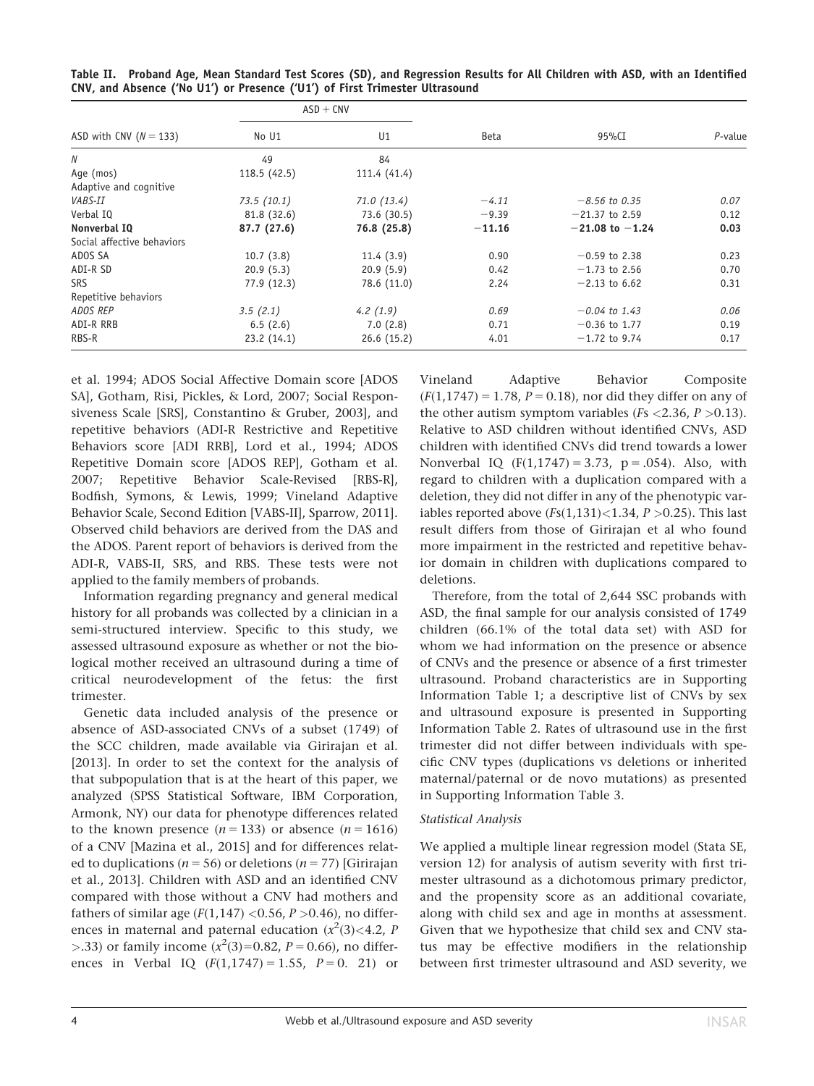|                            |             | $ASD + CNV$  |          |                     | $P$ -value |
|----------------------------|-------------|--------------|----------|---------------------|------------|
| ASD with CNV ( $N = 133$ ) | No U1       | U1           | Beta     | 95%CI               |            |
| N                          | 49          | 84           |          |                     |            |
| Age (mos)                  | 118.5(42.5) | 111.4 (41.4) |          |                     |            |
| Adaptive and cognitive     |             |              |          |                     |            |
| <i>VABS-II</i>             | 73.5(10.1)  | 71.0(13.4)   | $-4.11$  | $-8.56$ to 0.35     | 0.07       |
| Verbal IQ                  | 81.8 (32.6) | 73.6 (30.5)  | $-9.39$  | $-21.37$ to 2.59    | 0.12       |
| Nonverbal IQ               | 87.7 (27.6) | 76.8 (25.8)  | $-11.16$ | $-21.08$ to $-1.24$ | 0.03       |
| Social affective behaviors |             |              |          |                     |            |
| ADOS SA                    | 10.7(3.8)   | 11.4(3.9)    | 0.90     | $-0.59$ to 2.38     | 0.23       |
| ADI-R SD                   | 20.9(5.3)   | 20.9(5.9)    | 0.42     | $-1.73$ to 2.56     | 0.70       |
| <b>SRS</b>                 | 77.9 (12.3) | 78.6 (11.0)  | 2.24     | $-2.13$ to 6.62     | 0.31       |
| Repetitive behaviors       |             |              |          |                     |            |
| ADOS REP                   | 3.5(2.1)    | 4.2(1.9)     | 0.69     | $-0.04$ to 1.43     | 0.06       |
| ADI-R RRB                  | 6.5(2.6)    | 7.0(2.8)     | 0.71     | $-0.36$ to 1.77     | 0.19       |
| RBS-R                      | 23.2(14.1)  | 26.6(15.2)   | 4.01     | $-1.72$ to 9.74     | 0.17       |

Table II. Proband Age, Mean Standard Test Scores (SD), and Regression Results for All Children with ASD, with an Identified CNV, and Absence ('No U1') or Presence ('U1') of First Trimester Ultrasound

et al. 1994; ADOS Social Affective Domain score [ADOS SA], Gotham, Risi, Pickles, & Lord, 2007; Social Responsiveness Scale [SRS], Constantino & Gruber, 2003], and repetitive behaviors (ADI-R Restrictive and Repetitive Behaviors score [ADI RRB], Lord et al., 1994; ADOS Repetitive Domain score [ADOS REP], Gotham et al. 2007; Repetitive Behavior Scale-Revised [RBS-R], Bodfish, Symons, & Lewis, 1999; Vineland Adaptive Behavior Scale, Second Edition [VABS-II], Sparrow, 2011]. Observed child behaviors are derived from the DAS and the ADOS. Parent report of behaviors is derived from the ADI-R, VABS-II, SRS, and RBS. These tests were not applied to the family members of probands.

Information regarding pregnancy and general medical history for all probands was collected by a clinician in a semi-structured interview. Specific to this study, we assessed ultrasound exposure as whether or not the biological mother received an ultrasound during a time of critical neurodevelopment of the fetus: the first trimester.

Genetic data included analysis of the presence or absence of ASD-associated CNVs of a subset (1749) of the SCC children, made available via Girirajan et al. [2013]. In order to set the context for the analysis of that subpopulation that is at the heart of this paper, we analyzed (SPSS Statistical Software, IBM Corporation, Armonk, NY) our data for phenotype differences related to the known presence  $(n = 133)$  or absence  $(n = 1616)$ of a CNV [Mazina et al., 2015] and for differences related to duplications ( $n = 56$ ) or deletions ( $n = 77$ ) [Girirajan et al., 2013]. Children with ASD and an identified CNV compared with those without a CNV had mothers and fathers of similar age  $(F(1,147) < 0.56, P > 0.46)$ , no differences in maternal and paternal education  $(x^2(3) < 4.2, P$ >.33) or family income  $(x^2(3)=0.82, P=0.66)$ , no differences in Verbal IQ  $(F(1, 1747) = 1.55, P = 0.21)$  or Vineland Adaptive Behavior Composite  $(F(1, 1747) = 1.78, P = 0.18)$ , nor did they differ on any of the other autism symptom variables ( $Fs < 2.36$ ,  $P > 0.13$ ). Relative to ASD children without identified CNVs, ASD children with identified CNVs did trend towards a lower Nonverbal IQ  $(F(1, 1747) = 3.73, p = .054)$ . Also, with regard to children with a duplication compared with a deletion, they did not differ in any of the phenotypic variables reported above  $(Fs(1,131) < 1.34, P > 0.25)$ . This last result differs from those of Girirajan et al who found more impairment in the restricted and repetitive behavior domain in children with duplications compared to deletions.

Therefore, from the total of 2,644 SSC probands with ASD, the final sample for our analysis consisted of 1749 children (66.1% of the total data set) with ASD for whom we had information on the presence or absence of CNVs and the presence or absence of a first trimester ultrasound. Proband characteristics are in Supporting Information Table 1; a descriptive list of CNVs by sex and ultrasound exposure is presented in Supporting Information Table 2. Rates of ultrasound use in the first trimester did not differ between individuals with specific CNV types (duplications vs deletions or inherited maternal/paternal or de novo mutations) as presented in Supporting Information Table 3.

#### Statistical Analysis

We applied a multiple linear regression model (Stata SE, version 12) for analysis of autism severity with first trimester ultrasound as a dichotomous primary predictor, and the propensity score as an additional covariate, along with child sex and age in months at assessment. Given that we hypothesize that child sex and CNV status may be effective modifiers in the relationship between first trimester ultrasound and ASD severity, we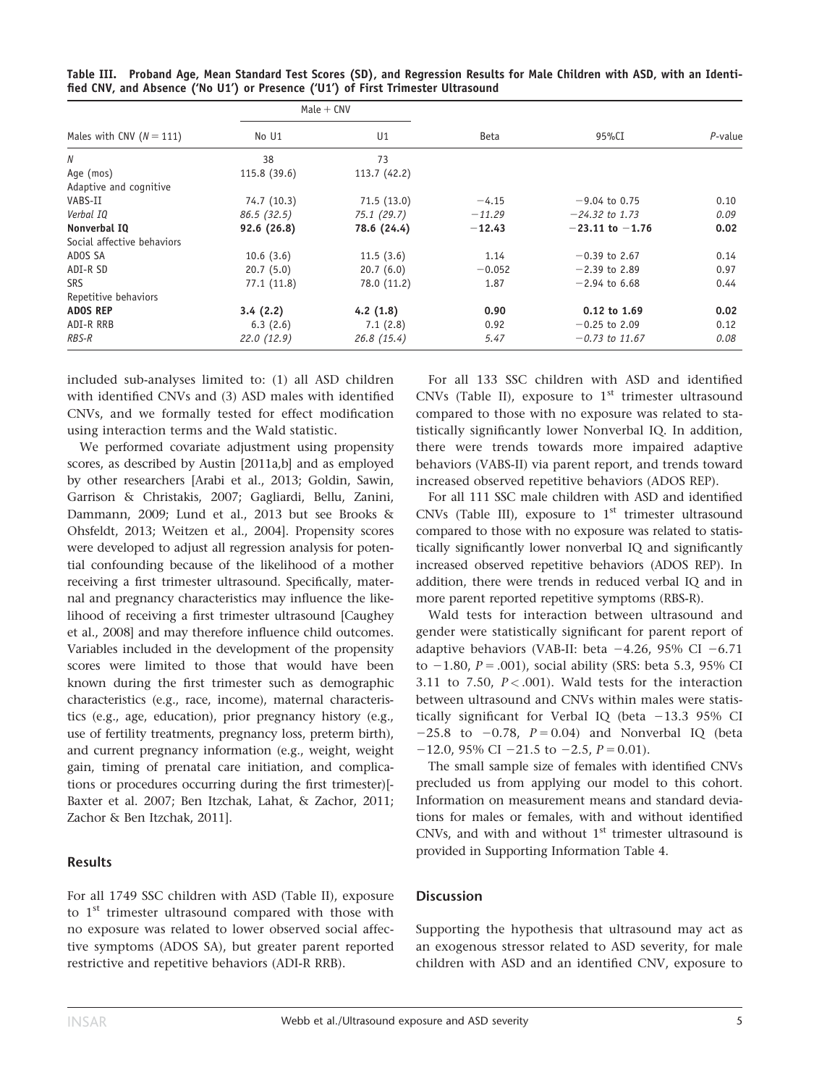|                              |              | $Male + CNV$ |             |                     | $P$ -value |
|------------------------------|--------------|--------------|-------------|---------------------|------------|
| Males with CNV ( $N = 111$ ) | No U1        | U1           | <b>Beta</b> | 95%CI               |            |
| Ν                            | 38           | 73           |             |                     |            |
| Age (mos)                    | 115.8 (39.6) | 113.7 (42.2) |             |                     |            |
| Adaptive and cognitive       |              |              |             |                     |            |
| VABS-II                      | 74.7 (10.3)  | 71.5(13.0)   | $-4.15$     | $-9.04$ to 0.75     | 0.10       |
| Verbal IO                    | 86.5(32.5)   | 75.1 (29.7)  | $-11.29$    | $-24.32$ to 1.73    | 0.09       |
| Nonverbal IQ                 | 92.6(26.8)   | 78.6 (24.4)  | $-12.43$    | $-23.11$ to $-1.76$ | 0.02       |
| Social affective behaviors   |              |              |             |                     |            |
| ADOS SA                      | 10.6(3.6)    | 11.5(3.6)    | 1.14        | $-0.39$ to 2.67     | 0.14       |
| ADI-R SD                     | 20.7(5.0)    | 20.7(6.0)    | $-0.052$    | $-2.39$ to 2.89     | 0.97       |
| <b>SRS</b>                   | 77.1(11.8)   | 78.0 (11.2)  | 1.87        | $-2.94$ to 6.68     | 0.44       |
| Repetitive behaviors         |              |              |             |                     |            |
| <b>ADOS REP</b>              | 3.4(2.2)     | 4.2(1.8)     | 0.90        | $0.12$ to $1.69$    | 0.02       |
| ADI-R RRB                    | 6.3(2.6)     | 7.1(2.8)     | 0.92        | $-0.25$ to 2.09     | 0.12       |
| RBS-R                        | 22.0(12.9)   | 26.8(15.4)   | 5.47        | $-0.73$ to 11.67    | 0.08       |

Table III. Proband Age, Mean Standard Test Scores (SD), and Regression Results for Male Children with ASD, with an Identified CNV, and Absence ('No U1') or Presence ('U1') of First Trimester Ultrasound

included sub-analyses limited to: (1) all ASD children with identified CNVs and (3) ASD males with identified CNVs, and we formally tested for effect modification using interaction terms and the Wald statistic.

We performed covariate adjustment using propensity scores, as described by Austin [2011a,b] and as employed by other researchers [Arabi et al., 2013; Goldin, Sawin, Garrison & Christakis, 2007; Gagliardi, Bellu, Zanini, Dammann, 2009; Lund et al., 2013 but see Brooks & Ohsfeldt, 2013; Weitzen et al., 2004]. Propensity scores were developed to adjust all regression analysis for potential confounding because of the likelihood of a mother receiving a first trimester ultrasound. Specifically, maternal and pregnancy characteristics may influence the likelihood of receiving a first trimester ultrasound [Caughey et al., 2008] and may therefore influence child outcomes. Variables included in the development of the propensity scores were limited to those that would have been known during the first trimester such as demographic characteristics (e.g., race, income), maternal characteristics (e.g., age, education), prior pregnancy history (e.g., use of fertility treatments, pregnancy loss, preterm birth), and current pregnancy information (e.g., weight, weight gain, timing of prenatal care initiation, and complications or procedures occurring during the first trimester)[- Baxter et al. 2007; Ben Itzchak, Lahat, & Zachor, 2011; Zachor & Ben Itzchak, 2011].

# Results

For all 1749 SSC children with ASD (Table II), exposure to 1<sup>st</sup> trimester ultrasound compared with those with no exposure was related to lower observed social affective symptoms (ADOS SA), but greater parent reported restrictive and repetitive behaviors (ADI-R RRB).

For all 133 SSC children with ASD and identified CNVs (Table II), exposure to  $1<sup>st</sup>$  trimester ultrasound compared to those with no exposure was related to statistically significantly lower Nonverbal IQ. In addition, there were trends towards more impaired adaptive behaviors (VABS-II) via parent report, and trends toward increased observed repetitive behaviors (ADOS REP).

For all 111 SSC male children with ASD and identified CNVs (Table III), exposure to  $1<sup>st</sup>$  trimester ultrasound compared to those with no exposure was related to statistically significantly lower nonverbal IQ and significantly increased observed repetitive behaviors (ADOS REP). In addition, there were trends in reduced verbal IQ and in more parent reported repetitive symptoms (RBS-R).

Wald tests for interaction between ultrasound and gender were statistically significant for parent report of adaptive behaviors (VAB-II: beta  $-4.26$ , 95% CI  $-6.71$ to  $-1.80$ ,  $P = .001$ ), social ability (SRS: beta 5.3, 95% CI 3.11 to 7.50,  $P < .001$ ). Wald tests for the interaction between ultrasound and CNVs within males were statistically significant for Verbal IQ (beta  $-13.3$  95% CI  $-25.8$  to  $-0.78$ ,  $P = 0.04$ ) and Nonverbal IQ (beta  $-12.0$ , 95% CI  $-21.5$  to  $-2.5$ ,  $P = 0.01$ ).

The small sample size of females with identified CNVs precluded us from applying our model to this cohort. Information on measurement means and standard deviations for males or females, with and without identified CNVs, and with and without  $1<sup>st</sup>$  trimester ultrasound is provided in Supporting Information Table 4.

#### **Discussion**

Supporting the hypothesis that ultrasound may act as an exogenous stressor related to ASD severity, for male children with ASD and an identified CNV, exposure to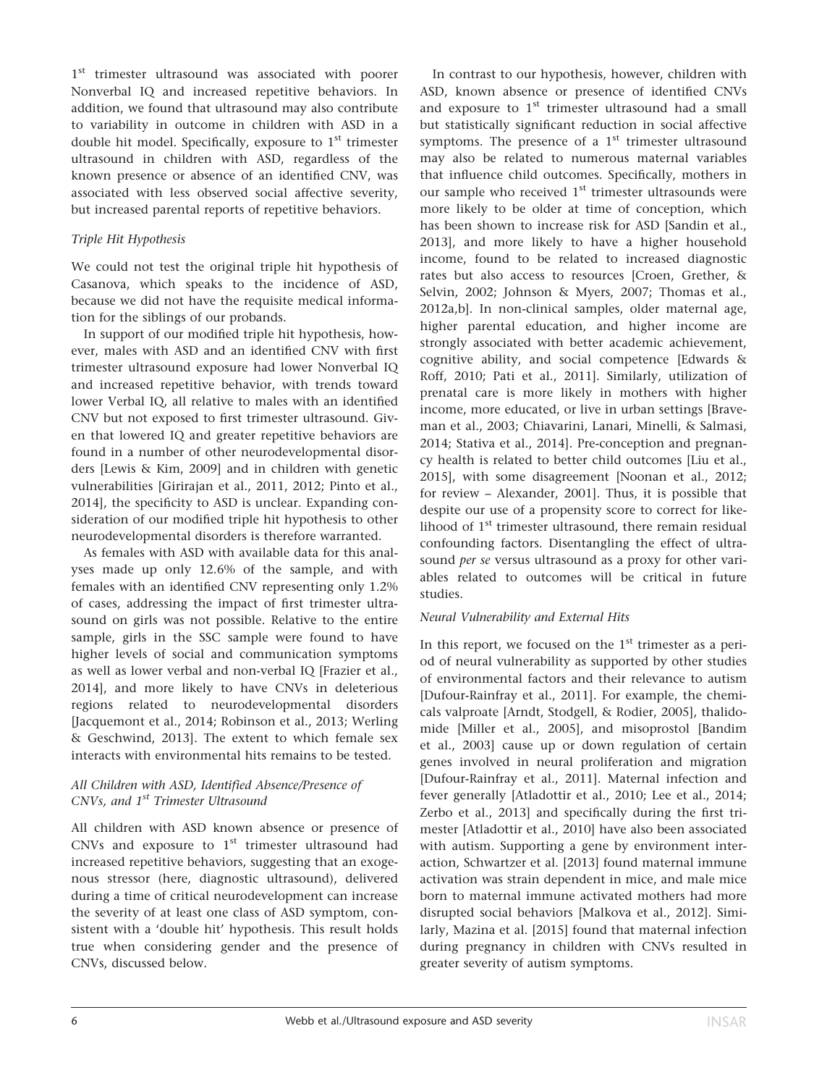1<sup>st</sup> trimester ultrasound was associated with poorer Nonverbal IQ and increased repetitive behaviors. In addition, we found that ultrasound may also contribute to variability in outcome in children with ASD in a double hit model. Specifically, exposure to 1<sup>st</sup> trimester ultrasound in children with ASD, regardless of the known presence or absence of an identified CNV, was associated with less observed social affective severity, but increased parental reports of repetitive behaviors.

# Triple Hit Hypothesis

We could not test the original triple hit hypothesis of Casanova, which speaks to the incidence of ASD, because we did not have the requisite medical information for the siblings of our probands.

In support of our modified triple hit hypothesis, however, males with ASD and an identified CNV with first trimester ultrasound exposure had lower Nonverbal IQ and increased repetitive behavior, with trends toward lower Verbal IQ, all relative to males with an identified CNV but not exposed to first trimester ultrasound. Given that lowered IQ and greater repetitive behaviors are found in a number of other neurodevelopmental disorders [Lewis & Kim, 2009] and in children with genetic vulnerabilities [Girirajan et al., 2011, 2012; Pinto et al., 2014], the specificity to ASD is unclear. Expanding consideration of our modified triple hit hypothesis to other neurodevelopmental disorders is therefore warranted.

As females with ASD with available data for this analyses made up only 12.6% of the sample, and with females with an identified CNV representing only 1.2% of cases, addressing the impact of first trimester ultrasound on girls was not possible. Relative to the entire sample, girls in the SSC sample were found to have higher levels of social and communication symptoms as well as lower verbal and non-verbal IQ [Frazier et al., 2014], and more likely to have CNVs in deleterious regions related to neurodevelopmental disorders [Jacquemont et al., 2014; Robinson et al., 2013; Werling & Geschwind, 2013]. The extent to which female sex interacts with environmental hits remains to be tested.

#### All Children with ASD, Identified Absence/Presence of CNVs, and 1<sup>st</sup> Trimester Ultrasound

All children with ASD known absence or presence of CNVs and exposure to  $1<sup>st</sup>$  trimester ultrasound had increased repetitive behaviors, suggesting that an exogenous stressor (here, diagnostic ultrasound), delivered during a time of critical neurodevelopment can increase the severity of at least one class of ASD symptom, consistent with a 'double hit' hypothesis. This result holds true when considering gender and the presence of CNVs, discussed below.

In contrast to our hypothesis, however, children with ASD, known absence or presence of identified CNVs and exposure to  $1<sup>st</sup>$  trimester ultrasound had a small but statistically significant reduction in social affective symptoms. The presence of a  $1<sup>st</sup>$  trimester ultrasound may also be related to numerous maternal variables that influence child outcomes. Specifically, mothers in our sample who received  $1<sup>st</sup>$  trimester ultrasounds were more likely to be older at time of conception, which has been shown to increase risk for ASD [Sandin et al., 2013], and more likely to have a higher household income, found to be related to increased diagnostic rates but also access to resources [Croen, Grether, & Selvin, 2002; Johnson & Myers, 2007; Thomas et al., 2012a,b]. In non-clinical samples, older maternal age, higher parental education, and higher income are strongly associated with better academic achievement, cognitive ability, and social competence [Edwards & Roff, 2010; Pati et al., 2011]. Similarly, utilization of prenatal care is more likely in mothers with higher income, more educated, or live in urban settings [Braveman et al., 2003; Chiavarini, Lanari, Minelli, & Salmasi, 2014; Stativa et al., 2014]. Pre-conception and pregnancy health is related to better child outcomes [Liu et al., 2015], with some disagreement [Noonan et al., 2012; for review – Alexander, 2001]. Thus, it is possible that despite our use of a propensity score to correct for likelihood of 1<sup>st</sup> trimester ultrasound, there remain residual confounding factors. Disentangling the effect of ultrasound per se versus ultrasound as a proxy for other variables related to outcomes will be critical in future studies.

# Neural Vulnerability and External Hits

In this report, we focused on the  $1<sup>st</sup>$  trimester as a period of neural vulnerability as supported by other studies of environmental factors and their relevance to autism [Dufour-Rainfray et al., 2011]. For example, the chemicals valproate [Arndt, Stodgell, & Rodier, 2005], thalidomide [Miller et al., 2005], and misoprostol [Bandim et al., 2003] cause up or down regulation of certain genes involved in neural proliferation and migration [Dufour-Rainfray et al., 2011]. Maternal infection and fever generally [Atladottir et al., 2010; Lee et al., 2014; Zerbo et al., 2013] and specifically during the first trimester [Atladottir et al., 2010] have also been associated with autism. Supporting a gene by environment interaction, Schwartzer et al. [2013] found maternal immune activation was strain dependent in mice, and male mice born to maternal immune activated mothers had more disrupted social behaviors [Malkova et al., 2012]. Similarly, Mazina et al. [2015] found that maternal infection during pregnancy in children with CNVs resulted in greater severity of autism symptoms.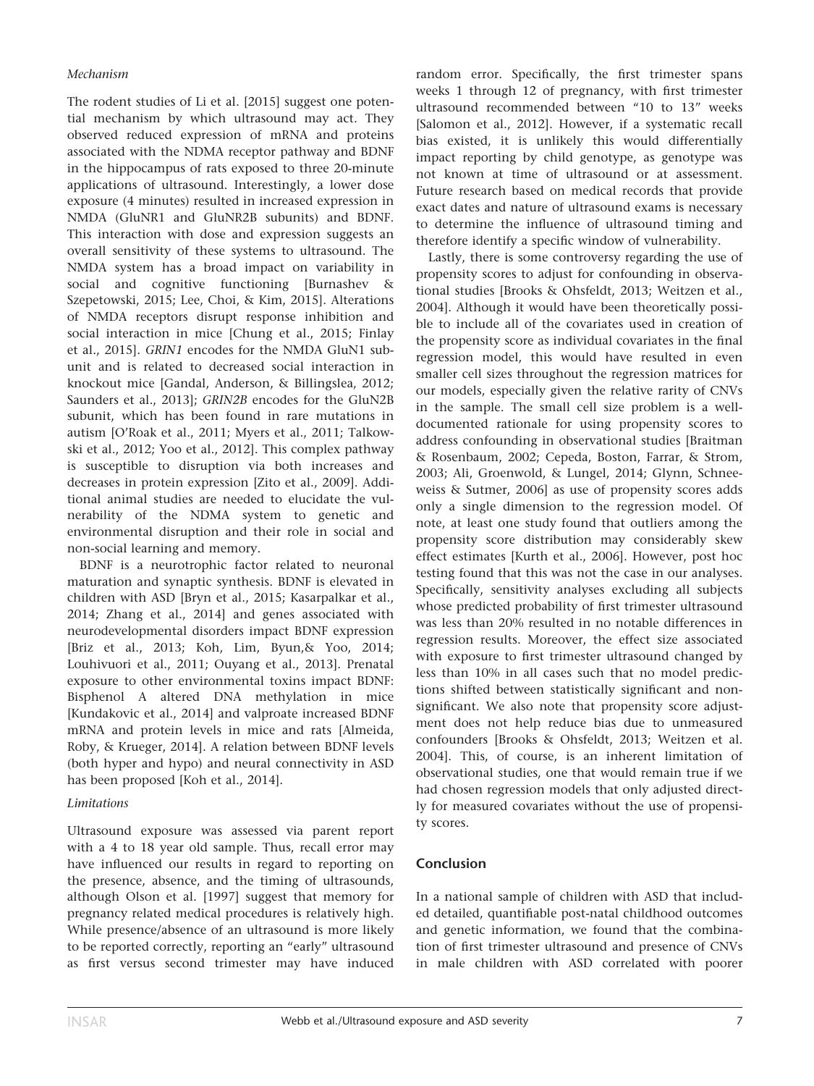#### Mechanism

The rodent studies of Li et al. [2015] suggest one potential mechanism by which ultrasound may act. They observed reduced expression of mRNA and proteins associated with the NDMA receptor pathway and BDNF in the hippocampus of rats exposed to three 20-minute applications of ultrasound. Interestingly, a lower dose exposure (4 minutes) resulted in increased expression in NMDA (GluNR1 and GluNR2B subunits) and BDNF. This interaction with dose and expression suggests an overall sensitivity of these systems to ultrasound. The NMDA system has a broad impact on variability in social and cognitive functioning [Burnashev & Szepetowski, 2015; Lee, Choi, & Kim, 2015]. Alterations of NMDA receptors disrupt response inhibition and social interaction in mice [Chung et al., 2015; Finlay et al., 2015]. GRIN1 encodes for the NMDA GluN1 subunit and is related to decreased social interaction in knockout mice [Gandal, Anderson, & Billingslea, 2012; Saunders et al., 2013]; GRIN2B encodes for the GluN2B subunit, which has been found in rare mutations in autism [O'Roak et al., 2011; Myers et al., 2011; Talkowski et al., 2012; Yoo et al., 2012]. This complex pathway is susceptible to disruption via both increases and decreases in protein expression [Zito et al., 2009]. Additional animal studies are needed to elucidate the vulnerability of the NDMA system to genetic and environmental disruption and their role in social and non-social learning and memory.

BDNF is a neurotrophic factor related to neuronal maturation and synaptic synthesis. BDNF is elevated in children with ASD [Bryn et al., 2015; Kasarpalkar et al., 2014; Zhang et al., 2014] and genes associated with neurodevelopmental disorders impact BDNF expression [Briz et al., 2013; Koh, Lim, Byun,& Yoo, 2014; Louhivuori et al., 2011; Ouyang et al., 2013]. Prenatal exposure to other environmental toxins impact BDNF: Bisphenol A altered DNA methylation in mice [Kundakovic et al., 2014] and valproate increased BDNF mRNA and protein levels in mice and rats [Almeida, Roby, & Krueger, 2014]. A relation between BDNF levels (both hyper and hypo) and neural connectivity in ASD has been proposed [Koh et al., 2014].

#### Limitations

Ultrasound exposure was assessed via parent report with a 4 to 18 year old sample. Thus, recall error may have influenced our results in regard to reporting on the presence, absence, and the timing of ultrasounds, although Olson et al. [1997] suggest that memory for pregnancy related medical procedures is relatively high. While presence/absence of an ultrasound is more likely to be reported correctly, reporting an "early" ultrasound as first versus second trimester may have induced

random error. Specifically, the first trimester spans weeks 1 through 12 of pregnancy, with first trimester ultrasound recommended between "10 to 13" weeks [Salomon et al., 2012]. However, if a systematic recall bias existed, it is unlikely this would differentially impact reporting by child genotype, as genotype was not known at time of ultrasound or at assessment. Future research based on medical records that provide exact dates and nature of ultrasound exams is necessary to determine the influence of ultrasound timing and therefore identify a specific window of vulnerability.

Lastly, there is some controversy regarding the use of propensity scores to adjust for confounding in observational studies [Brooks & Ohsfeldt, 2013; Weitzen et al., 2004]. Although it would have been theoretically possible to include all of the covariates used in creation of the propensity score as individual covariates in the final regression model, this would have resulted in even smaller cell sizes throughout the regression matrices for our models, especially given the relative rarity of CNVs in the sample. The small cell size problem is a welldocumented rationale for using propensity scores to address confounding in observational studies [Braitman & Rosenbaum, 2002; Cepeda, Boston, Farrar, & Strom, 2003; Ali, Groenwold, & Lungel, 2014; Glynn, Schneeweiss & Sutmer, 2006] as use of propensity scores adds only a single dimension to the regression model. Of note, at least one study found that outliers among the propensity score distribution may considerably skew effect estimates [Kurth et al., 2006]. However, post hoc testing found that this was not the case in our analyses. Specifically, sensitivity analyses excluding all subjects whose predicted probability of first trimester ultrasound was less than 20% resulted in no notable differences in regression results. Moreover, the effect size associated with exposure to first trimester ultrasound changed by less than 10% in all cases such that no model predictions shifted between statistically significant and nonsignificant. We also note that propensity score adjustment does not help reduce bias due to unmeasured confounders [Brooks & Ohsfeldt, 2013; Weitzen et al. 2004]. This, of course, is an inherent limitation of observational studies, one that would remain true if we had chosen regression models that only adjusted directly for measured covariates without the use of propensity scores.

# Conclusion

In a national sample of children with ASD that included detailed, quantifiable post-natal childhood outcomes and genetic information, we found that the combination of first trimester ultrasound and presence of CNVs in male children with ASD correlated with poorer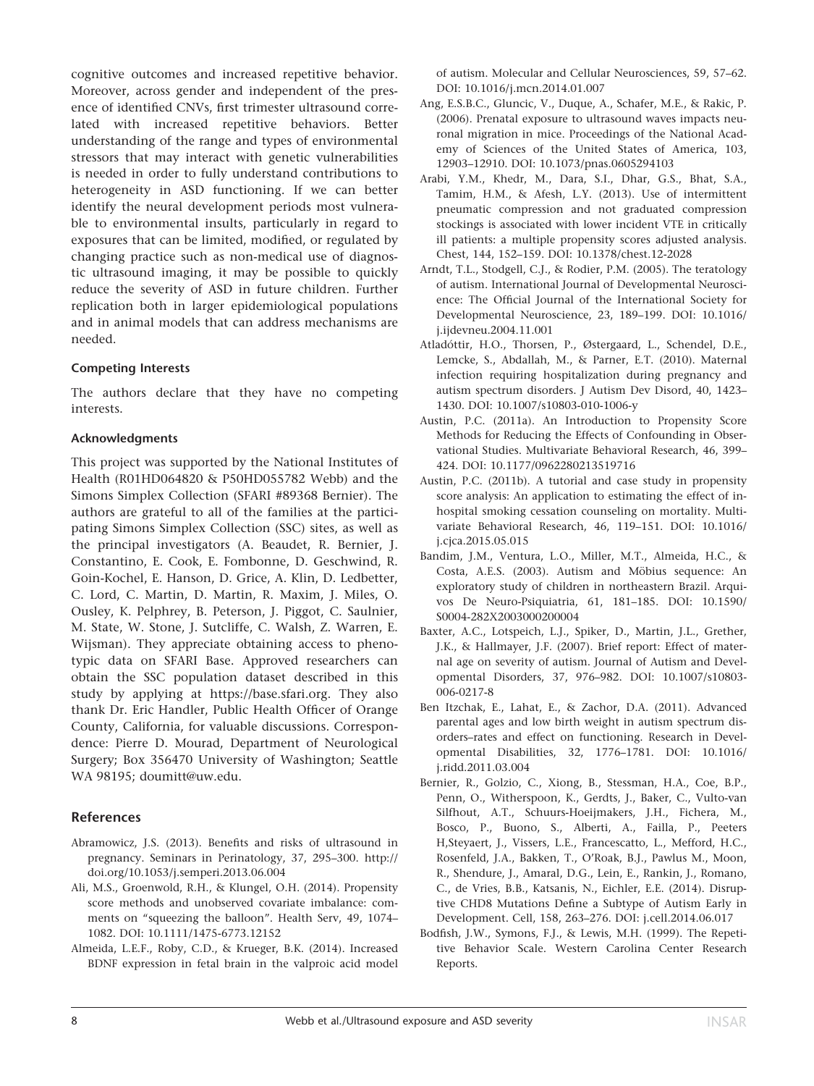cognitive outcomes and increased repetitive behavior. Moreover, across gender and independent of the presence of identified CNVs, first trimester ultrasound correlated with increased repetitive behaviors. Better understanding of the range and types of environmental stressors that may interact with genetic vulnerabilities is needed in order to fully understand contributions to heterogeneity in ASD functioning. If we can better identify the neural development periods most vulnerable to environmental insults, particularly in regard to exposures that can be limited, modified, or regulated by changing practice such as non-medical use of diagnostic ultrasound imaging, it may be possible to quickly reduce the severity of ASD in future children. Further replication both in larger epidemiological populations and in animal models that can address mechanisms are needed.

#### Competing Interests

The authors declare that they have no competing interests.

#### Acknowledgments

This project was supported by the National Institutes of Health (R01HD064820 & P50HD055782 Webb) and the Simons Simplex Collection (SFARI #89368 Bernier). The authors are grateful to all of the families at the participating Simons Simplex Collection (SSC) sites, as well as the principal investigators (A. Beaudet, R. Bernier, J. Constantino, E. Cook, E. Fombonne, D. Geschwind, R. Goin-Kochel, E. Hanson, D. Grice, A. Klin, D. Ledbetter, C. Lord, C. Martin, D. Martin, R. Maxim, J. Miles, O. Ousley, K. Pelphrey, B. Peterson, J. Piggot, C. Saulnier, M. State, W. Stone, J. Sutcliffe, C. Walsh, Z. Warren, E. Wijsman). They appreciate obtaining access to phenotypic data on SFARI Base. Approved researchers can obtain the SSC population dataset described in this study by applying at [https://base.sfari.org.](http://https://base.sfari.org) They also thank Dr. Eric Handler, Public Health Officer of Orange County, California, for valuable discussions. Correspondence: Pierre D. Mourad, Department of Neurological Surgery; Box 356470 University of Washington; Seattle WA 98195; doumitt@uw.edu.

# References

- Abramowicz, J.S. (2013). Benefits and risks of ultrasound in pregnancy. Seminars in Perinatology, 37, 295–300. [http://](http://doi.org/10.1053/j.semperi.2013.06.004) [doi.org/10.1053/j.semperi.2013.06.004](http://doi.org/10.1053/j.semperi.2013.06.004)
- Ali, M.S., Groenwold, R.H., & Klungel, O.H. (2014). Propensity score methods and unobserved covariate imbalance: comments on "squeezing the balloon". Health Serv, 49, 1074– 1082. DOI: [10.1111/1475-6773.12152](info:doi/10.1111/1475-6773.12152)
- Almeida, L.E.F., Roby, C.D., & Krueger, B.K. (2014). Increased BDNF expression in fetal brain in the valproic acid model

of autism. Molecular and Cellular Neurosciences, 59, 57–62. DOI: [10.1016/j.mcn.2014.01.007](info:doi/10.1016/j.mcn.2014.01.007)

- Ang, E.S.B.C., Gluncic, V., Duque, A., Schafer, M.E., & Rakic, P. (2006). Prenatal exposure to ultrasound waves impacts neuronal migration in mice. Proceedings of the National Academy of Sciences of the United States of America, 103, 12903–12910. DOI: [10.1073/pnas.0605294103](info:doi/10.1073/pnas.0605294103)
- Arabi, Y.M., Khedr, M., Dara, S.I., Dhar, G.S., Bhat, S.A., Tamim, H.M., & Afesh, L.Y. (2013). Use of intermittent pneumatic compression and not graduated compression stockings is associated with lower incident VTE in critically ill patients: a multiple propensity scores adjusted analysis. Chest, 144, 152–159. DOI: [10.1378/chest.12-2028](info:doi/10.1378/chest.12-2028)
- Arndt, T.L., Stodgell, C.J., & Rodier, P.M. (2005). The teratology of autism. International Journal of Developmental Neuroscience: The Official Journal of the International Society for Developmental Neuroscience, 23, 189–199. DOI: [10.1016/](info:doi/10.1016/j.ijdevneu.2004.11.001) [j.ijdevneu.2004.11.001](info:doi/10.1016/j.ijdevneu.2004.11.001)
- Atladóttir, H.O., Thorsen, P., Østergaard, L., Schendel, D.E., Lemcke, S., Abdallah, M., & Parner, E.T. (2010). Maternal infection requiring hospitalization during pregnancy and autism spectrum disorders. J Autism Dev Disord, 40, 1423– 1430. DOI: [10.1007/s10803-010-1006-y](info:doi/10.1007/s10803-010-1006-y)
- Austin, P.C. (2011a). An Introduction to Propensity Score Methods for Reducing the Effects of Confounding in Observational Studies. Multivariate Behavioral Research, 46, 399– 424. DOI: [10.1177/0962280213519716](info:doi/10.1177/0962280213519716)
- Austin, P.C. (2011b). A tutorial and case study in propensity score analysis: An application to estimating the effect of inhospital smoking cessation counseling on mortality. Multivariate Behavioral Research, 46, 119–151. DOI: [10.1016/](info:doi/10.1016/j.cjca.2015.05.015) [j.cjca.2015.05.015](info:doi/10.1016/j.cjca.2015.05.015)
- Bandim, J.M., Ventura, L.O., Miller, M.T., Almeida, H.C., & Costa, A.E.S. (2003). Autism and Möbius sequence: An exploratory study of children in northeastern Brazil. Arquivos De Neuro-Psiquiatria, 61, 181–185. DOI: [10.1590/](info:doi/10.1590/S0004-282X2003000200004) [S0004-282X2003000200004](info:doi/10.1590/S0004-282X2003000200004)
- Baxter, A.C., Lotspeich, L.J., Spiker, D., Martin, J.L., Grether, J.K., & Hallmayer, J.F. (2007). Brief report: Effect of maternal age on severity of autism. Journal of Autism and Developmental Disorders, 37, 976–982. DOI: [10.1007/s10803-](info:doi/10.1007/s10803-006-0217-8) [006-0217-8](info:doi/10.1007/s10803-006-0217-8)
- Ben Itzchak, E., Lahat, E., & Zachor, D.A. (2011). Advanced parental ages and low birth weight in autism spectrum disorders–rates and effect on functioning. Research in Developmental Disabilities, 32, 1776–1781. DOI: [10.1016/](info:doi/10.1016/j.ridd.2011.03.004) [j.ridd.2011.03.004](info:doi/10.1016/j.ridd.2011.03.004)
- Bernier, R., Golzio, C., Xiong, B., Stessman, H.A., Coe, B.P., Penn, O., Witherspoon, K., Gerdts, J., Baker, C., Vulto-van Silfhout, A.T., Schuurs-Hoeijmakers, J.H., Fichera, M., Bosco, P., Buono, S., Alberti, A., Failla, P., Peeters H,Steyaert, J., Vissers, L.E., Francescatto, L., Mefford, H.C., Rosenfeld, J.A., Bakken, T., O'Roak, B.J., Pawlus M., Moon, R., Shendure, J., Amaral, D.G., Lein, E., Rankin, J., Romano, C., de Vries, B.B., Katsanis, N., Eichler, E.E. (2014). Disruptive CHD8 Mutations Define a Subtype of Autism Early in Development. Cell, 158, 263–276. DOI: j.cell.2014.06.017
- Bodfish, J.W., Symons, F.J., & Lewis, M.H. (1999). The Repetitive Behavior Scale. Western Carolina Center Research Reports.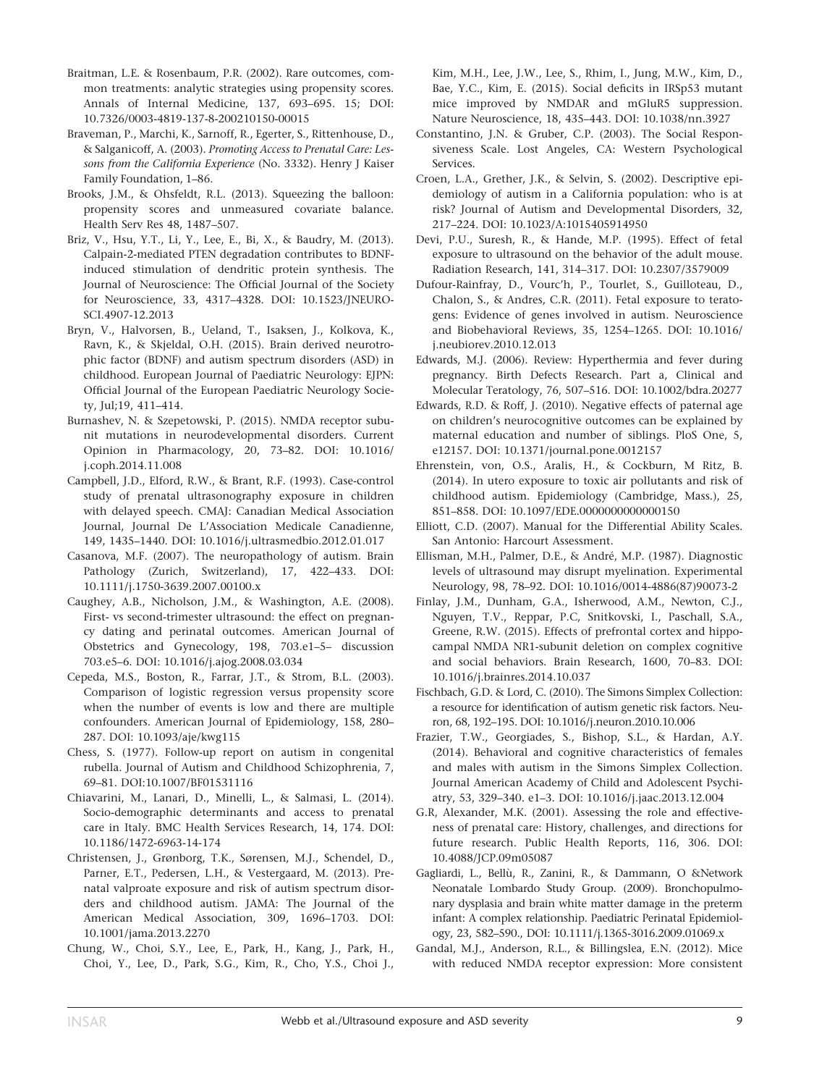- Braitman, L.E. & Rosenbaum, P.R. (2002). Rare outcomes, common treatments: analytic strategies using propensity scores. Annals of Internal Medicine, 137, 693–695. 15; DOI: [10.7326/0003-4819-137-8-200210150-00015](info:doi/10.7326/0003-4819-137-8-200210150-00015)
- Braveman, P., Marchi, K., Sarnoff, R., Egerter, S., Rittenhouse, D., & Salganicoff, A. (2003). Promoting Access to Prenatal Care: Lessons from the California Experience (No. 3332). Henry J Kaiser Family Foundation, 1–86.
- Brooks, J.M., & Ohsfeldt, R.L. (2013). Squeezing the balloon: propensity scores and unmeasured covariate balance. Health Serv Res 48, 1487–507.
- Briz, V., Hsu, Y.T., Li, Y., Lee, E., Bi, X., & Baudry, M. (2013). Calpain-2-mediated PTEN degradation contributes to BDNFinduced stimulation of dendritic protein synthesis. The Journal of Neuroscience: The Official Journal of the Society for Neuroscience, 33, 4317–4328. DOI: [10.1523/JNEURO-](info:doi/10.1523/JNEUROSCI.4907-12.2013)[SCI.4907-12.2013](info:doi/10.1523/JNEUROSCI.4907-12.2013)
- Bryn, V., Halvorsen, B., Ueland, T., Isaksen, J., Kolkova, K., Ravn, K., & Skjeldal, O.H. (2015). Brain derived neurotrophic factor (BDNF) and autism spectrum disorders (ASD) in childhood. European Journal of Paediatric Neurology: EJPN: Official Journal of the European Paediatric Neurology Society, Jul;19, 411–414.
- Burnashev, N. & Szepetowski, P. (2015). NMDA receptor subunit mutations in neurodevelopmental disorders. Current Opinion in Pharmacology, 20, 73–82. DOI: [10.1016/](info:doi/10.1016/j.coph.2014.11.008) [j.coph.2014.11.008](info:doi/10.1016/j.coph.2014.11.008)
- Campbell, J.D., Elford, R.W., & Brant, R.F. (1993). Case-control study of prenatal ultrasonography exposure in children with delayed speech. CMAJ: Canadian Medical Association Journal, Journal De L'Association Medicale Canadienne, 149, 1435–1440. DOI: [10.1016/j.ultrasmedbio.2012.01.017](info:doi/10.1016/j.ultrasmedbio.2012.01.017)
- Casanova, M.F. (2007). The neuropathology of autism. Brain Pathology (Zurich, Switzerland), 17, 422–433. DOI: [10.1111/j.1750-3639.2007.00100.x](info:doi/10.1111/j.1750-3639.2007.00100.x)
- Caughey, A.B., Nicholson, J.M., & Washington, A.E. (2008). First- vs second-trimester ultrasound: the effect on pregnancy dating and perinatal outcomes. American Journal of Obstetrics and Gynecology, 198, 703.e1–5– discussion 703.e5–6. DOI: [10.1016/j.ajog.2008.03.034](info:doi/10.1016/j.ajog.2008.03.034)
- Cepeda, M.S., Boston, R., Farrar, J.T., & Strom, B.L. (2003). Comparison of logistic regression versus propensity score when the number of events is low and there are multiple confounders. American Journal of Epidemiology, 158, 280– 287. DOI: [10.1093/aje/kwg115](info:doi/10.1093/aje/kwg115)
- Chess, S. (1977). Follow-up report on autism in congenital rubella. Journal of Autism and Childhood Schizophrenia, 7, 69–81. DOI[:10.1007/BF01531116](info:doi/10.1007/BF01531116)
- Chiavarini, M., Lanari, D., Minelli, L., & Salmasi, L. (2014). Socio-demographic determinants and access to prenatal care in Italy. BMC Health Services Research, 14, 174. DOI: [10.1186/1472-6963-14-174](info:doi/10.1186/1472-6963-14-174)
- Christensen, J., Grønborg, T.K., Sørensen, M.J., Schendel, D., Parner, E.T., Pedersen, L.H., & Vestergaard, M. (2013). Prenatal valproate exposure and risk of autism spectrum disorders and childhood autism. JAMA: The Journal of the American Medical Association, 309, 1696–1703. DOI: [10.1001/jama.2013.2270](info:doi/10.1001/jama.2013.2270)
- Chung, W., Choi, S.Y., Lee, E., Park, H., Kang, J., Park, H., Choi, Y., Lee, D., Park, S.G., Kim, R., Cho, Y.S., Choi J.,

Kim, M.H., Lee, J.W., Lee, S., Rhim, I., Jung, M.W., Kim, D., Bae, Y.C., Kim, E. (2015). Social deficits in IRSp53 mutant mice improved by NMDAR and mGluR5 suppression. Nature Neuroscience, 18, 435–443. DOI: [10.1038/nn.3927](info:doi/10.1038/nn.3927)

- Constantino, J.N. & Gruber, C.P. (2003). The Social Responsiveness Scale. Lost Angeles, CA: Western Psychological Services.
- Croen, L.A., Grether, J.K., & Selvin, S. (2002). Descriptive epidemiology of autism in a California population: who is at risk? Journal of Autism and Developmental Disorders, 32, 217–224. DOI: [10.1023/A:1015405914950](info:doi/10.1023/A:1015405914950)
- Devi, P.U., Suresh, R., & Hande, M.P. (1995). Effect of fetal exposure to ultrasound on the behavior of the adult mouse. Radiation Research, 141, 314–317. DOI: [10.2307/3579009](info:doi/10.2307/3579009)
- Dufour-Rainfray, D., Vourc'h, P., Tourlet, S., Guilloteau, D., Chalon, S., & Andres, C.R. (2011). Fetal exposure to teratogens: Evidence of genes involved in autism. Neuroscience and Biobehavioral Reviews, 35, 1254–1265. DOI: [10.1016/](info:doi/10.1016/j.neubiorev.2010.12.013) [j.neubiorev.2010.12.013](info:doi/10.1016/j.neubiorev.2010.12.013)
- Edwards, M.J. (2006). Review: Hyperthermia and fever during pregnancy. Birth Defects Research. Part a, Clinical and Molecular Teratology, 76, 507–516. DOI: [10.1002/bdra.20277](info:doi/10.1002/bdra.20277)
- Edwards, R.D. & Roff, J. (2010). Negative effects of paternal age on children's neurocognitive outcomes can be explained by maternal education and number of siblings. PloS One, 5, e12157. DOI: [10.1371/journal.pone.0012157](info:doi/10.1371/journal.pone.0012157)
- Ehrenstein, von, O.S., Aralis, H., & Cockburn, M Ritz, B. (2014). In utero exposure to toxic air pollutants and risk of childhood autism. Epidemiology (Cambridge, Mass.), 25, 851–858. DOI: [10.1097/EDE.0000000000000150](info:doi/10.1097/EDE.0000000000000150)
- Elliott, C.D. (2007). Manual for the Differential Ability Scales. San Antonio: Harcourt Assessment.
- Ellisman, M.H., Palmer, D.E., & André, M.P. (1987). Diagnostic levels of ultrasound may disrupt myelination. Experimental Neurology, 98, 78–92. DOI: [10.1016/0014-4886\(87\)90073-2](info:doi/10.1016/0014-4886(87)90073-2)
- Finlay, J.M., Dunham, G.A., Isherwood, A.M., Newton, C.J., Nguyen, T.V., Reppar, P.C, Snitkovski, I., Paschall, S.A., Greene, R.W. (2015). Effects of prefrontal cortex and hippocampal NMDA NR1-subunit deletion on complex cognitive and social behaviors. Brain Research, 1600, 70–83. DOI: [10.1016/j.brainres.2014.10.037](info:doi/10.1016/j.brainres.2014.10.037)
- Fischbach, G.D. & Lord, C. (2010). The Simons Simplex Collection: a resource for identification of autism genetic risk factors. Neuron, 68, 192–195. DOI: [10.1016/j.neuron.2010.10.006](info:doi/10.1016/j.neuron.2010.10.006)
- Frazier, T.W., Georgiades, S., Bishop, S.L., & Hardan, A.Y. (2014). Behavioral and cognitive characteristics of females and males with autism in the Simons Simplex Collection. Journal American Academy of Child and Adolescent Psychiatry, 53, 329–340. e1–3. DOI: [10.1016/j.jaac.2013.12.004](info:doi/10.1016/j.jaac.2013.12.004)
- G.R, Alexander, M.K. (2001). Assessing the role and effectiveness of prenatal care: History, challenges, and directions for future research. Public Health Reports, 116, 306. DOI: [10.4088/JCP.09m05087](info:doi/10.4088/JCP.09m05087)
- Gagliardi, L., Bellù, R., Zanini, R., & Dammann, O &Network Neonatale Lombardo Study Group. (2009). Bronchopulmonary dysplasia and brain white matter damage in the preterm infant: A complex relationship. Paediatric Perinatal Epidemiology, 23, 582–590., DOI: [10.1111/j.1365-3016.2009.01069.x](info:doi/10.1111/j.1365-3016.2009.01069.x)
- Gandal, M.J., Anderson, R.L., & Billingslea, E.N. (2012). Mice with reduced NMDA receptor expression: More consistent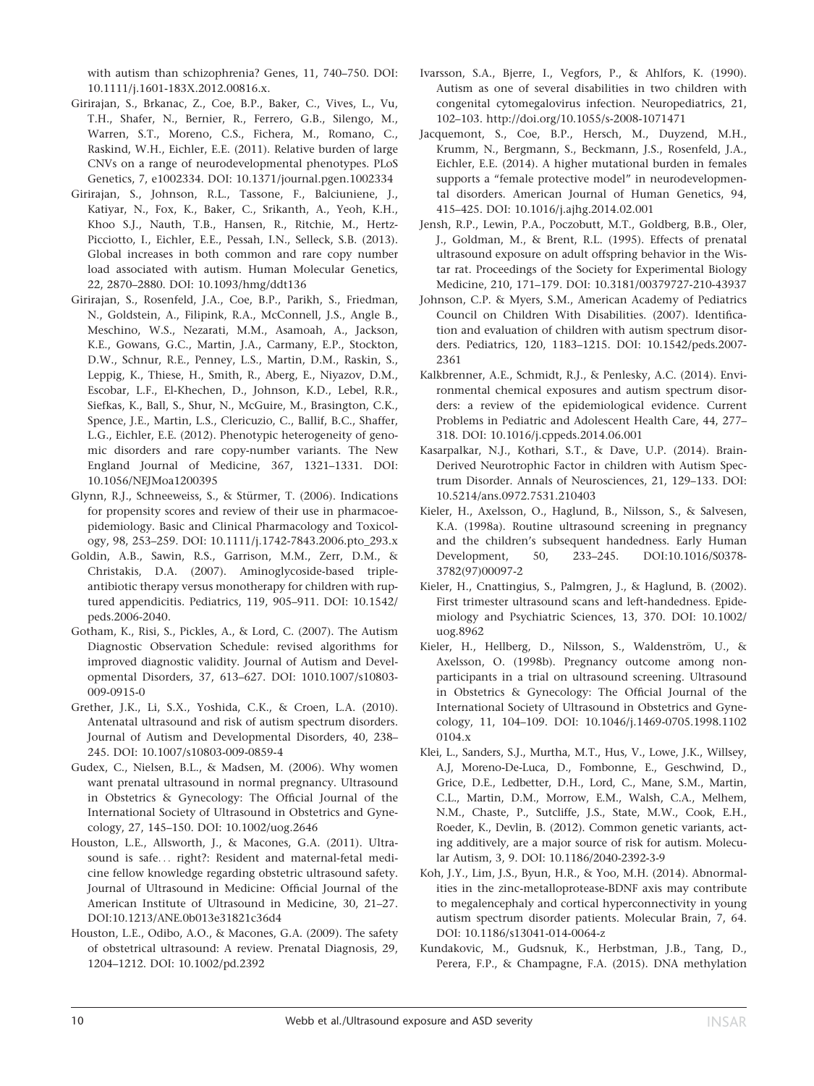with autism than schizophrenia? Genes, 11, 740–750. DOI: [10.1111/j.1601-183X.2012.00816.x](info:doi/10.1111/j.1601-183X.2012.00816.x).

- Girirajan, S., Brkanac, Z., Coe, B.P., Baker, C., Vives, L., Vu, T.H., Shafer, N., Bernier, R., Ferrero, G.B., Silengo, M., Warren, S.T., Moreno, C.S., Fichera, M., Romano, C., Raskind, W.H., Eichler, E.E. (2011). Relative burden of large CNVs on a range of neurodevelopmental phenotypes. PLoS Genetics, 7, e1002334. DOI: [10.1371/journal.pgen.1002334](info:doi/10.1371/journal.pgen.1002334)
- Girirajan, S., Johnson, R.L., Tassone, F., Balciuniene, J., Katiyar, N., Fox, K., Baker, C., Srikanth, A., Yeoh, K.H., Khoo S.J., Nauth, T.B., Hansen, R., Ritchie, M., Hertz-Picciotto, I., Eichler, E.E., Pessah, I.N., Selleck, S.B. (2013). Global increases in both common and rare copy number load associated with autism. Human Molecular Genetics, 22, 2870–2880. DOI: [10.1093/hmg/ddt136](info:doi/10.1093/hmg/ddt136)
- Girirajan, S., Rosenfeld, J.A., Coe, B.P., Parikh, S., Friedman, N., Goldstein, A., Filipink, R.A., McConnell, J.S., Angle B., Meschino, W.S., Nezarati, M.M., Asamoah, A., Jackson, K.E., Gowans, G.C., Martin, J.A., Carmany, E.P., Stockton, D.W., Schnur, R.E., Penney, L.S., Martin, D.M., Raskin, S., Leppig, K., Thiese, H., Smith, R., Aberg, E., Niyazov, D.M., Escobar, L.F., El-Khechen, D., Johnson, K.D., Lebel, R.R., Siefkas, K., Ball, S., Shur, N., McGuire, M., Brasington, C.K., Spence, J.E., Martin, L.S., Clericuzio, C., Ballif, B.C., Shaffer, L.G., Eichler, E.E. (2012). Phenotypic heterogeneity of genomic disorders and rare copy-number variants. The New England Journal of Medicine, 367, 1321–1331. DOI: [10.1056/NEJMoa1200395](info:doi/10.1056/NEJMoa1200395)
- Glynn, R.J., Schneeweiss, S., & Stürmer, T. (2006). Indications for propensity scores and review of their use in pharmacoepidemiology. Basic and Clinical Pharmacology and Toxicology, 98, 253–259. DOI: [10.1111/j.1742-7843.2006.pto\\_293.x](info:doi/10.1111/j.1742-7843.2006.pto_293.x)
- Goldin, A.B., Sawin, R.S., Garrison, M.M., Zerr, D.M., & Christakis, D.A. (2007). Aminoglycoside-based tripleantibiotic therapy versus monotherapy for children with ruptured appendicitis. Pediatrics, 119, 905–911. DOI: [10.1542/](info:doi/10.1542/peds.2006-2040) [peds.2006-2040](info:doi/10.1542/peds.2006-2040).
- Gotham, K., Risi, S., Pickles, A., & Lord, C. (2007). The Autism Diagnostic Observation Schedule: revised algorithms for improved diagnostic validity. Journal of Autism and Developmental Disorders, 37, 613–627. DOI: 1010.1007/s10803- 009-0915-0
- Grether, J.K., Li, S.X., Yoshida, C.K., & Croen, L.A. (2010). Antenatal ultrasound and risk of autism spectrum disorders. Journal of Autism and Developmental Disorders, 40, 238– 245. DOI: [10.1007/s10803-009-0859-4](info:doi/10.1007/s10803-009-0859-4)
- Gudex, C., Nielsen, B.L., & Madsen, M. (2006). Why women want prenatal ultrasound in normal pregnancy. Ultrasound in Obstetrics & Gynecology: The Official Journal of the International Society of Ultrasound in Obstetrics and Gynecology, 27, 145–150. DOI: [10.1002/uog.2646](info:doi/10.1002/uog.2646)
- Houston, L.E., Allsworth, J., & Macones, G.A. (2011). Ultrasound is safe... right?: Resident and maternal-fetal medicine fellow knowledge regarding obstetric ultrasound safety. Journal of Ultrasound in Medicine: Official Journal of the American Institute of Ultrasound in Medicine, 30, 21–27. DOI:[10.1213/ANE.0b013e31821c36d4](info:doi/10.1213/ANE.0b013e31821c36d4)
- Houston, L.E., Odibo, A.O., & Macones, G.A. (2009). The safety of obstetrical ultrasound: A review. Prenatal Diagnosis, 29, 1204–1212. DOI: [10.1002/pd.2392](info:doi/10.1002/pd.2392)
- Ivarsson, S.A., Bjerre, I., Vegfors, P., & Ahlfors, K. (1990). Autism as one of several disabilities in two children with congenital cytomegalovirus infection. Neuropediatrics, 21, 102–103.<http://doi.org/10.1055/s-2008-1071471>
- Jacquemont, S., Coe, B.P., Hersch, M., Duyzend, M.H., Krumm, N., Bergmann, S., Beckmann, J.S., Rosenfeld, J.A., Eichler, E.E. (2014). A higher mutational burden in females supports a "female protective model" in neurodevelopmental disorders. American Journal of Human Genetics, 94, 415–425. DOI: [10.1016/j.ajhg.2014.02.001](info:doi/10.1016/j.ajhg.2014.02.001)
- Jensh, R.P., Lewin, P.A., Poczobutt, M.T., Goldberg, B.B., Oler, J., Goldman, M., & Brent, R.L. (1995). Effects of prenatal ultrasound exposure on adult offspring behavior in the Wistar rat. Proceedings of the Society for Experimental Biology Medicine, 210, 171–179. DOI: [10.3181/00379727-210-43937](info:doi/10.3181/00379727-210-43937)
- Johnson, C.P. & Myers, S.M., American Academy of Pediatrics Council on Children With Disabilities. (2007). Identification and evaluation of children with autism spectrum disorders. Pediatrics, 120, 1183–1215. DOI: [10.1542/peds.2007-](info:doi/10.1542/peds.2007-2361) [2361](info:doi/10.1542/peds.2007-2361)
- Kalkbrenner, A.E., Schmidt, R.J., & Penlesky, A.C. (2014). Environmental chemical exposures and autism spectrum disorders: a review of the epidemiological evidence. Current Problems in Pediatric and Adolescent Health Care, 44, 277– 318. DOI: [10.1016/j.cppeds.2014.06.001](info:doi/10.1016/j.cppeds.2014.06.001)
- Kasarpalkar, N.J., Kothari, S.T., & Dave, U.P. (2014). Brain-Derived Neurotrophic Factor in children with Autism Spectrum Disorder. Annals of Neurosciences, 21, 129–133. DOI: [10.5214/ans.0972.7531.210403](info:doi/10.5214/ans.0972.7531.210403)
- Kieler, H., Axelsson, O., Haglund, B., Nilsson, S., & Salvesen, K.A. (1998a). Routine ultrasound screening in pregnancy and the children's subsequent handedness. Early Human Development, 50, 233–245. DOI[:10.1016/S0378-](info:doi/10.1016/S0378-3782(97)00097-2) [3782\(97\)00097-2](info:doi/10.1016/S0378-3782(97)00097-2)
- Kieler, H., Cnattingius, S., Palmgren, J., & Haglund, B. (2002). First trimester ultrasound scans and left-handedness. Epidemiology and Psychiatric Sciences, 13, 370. DOI: [10.1002/](info:doi/10.1002/uog.8962) [uog.8962](info:doi/10.1002/uog.8962)
- Kieler, H., Hellberg, D., Nilsson, S., Waldenström, U., & Axelsson, O. (1998b). Pregnancy outcome among nonparticipants in a trial on ultrasound screening. Ultrasound in Obstetrics & Gynecology: The Official Journal of the International Society of Ultrasound in Obstetrics and Gynecology, 11, 104–109. DOI: [10.1046/j.1469-0705.1998.1102](info:doi/10.1046/j.1469-0705.1998.11020104.x) [0104.x](info:doi/10.1046/j.1469-0705.1998.11020104.x)
- Klei, L., Sanders, S.J., Murtha, M.T., Hus, V., Lowe, J.K., Willsey, A.J, Moreno-De-Luca, D., Fombonne, E., Geschwind, D., Grice, D.E., Ledbetter, D.H., Lord, C., Mane, S.M., Martin, C.L., Martin, D.M., Morrow, E.M., Walsh, C.A., Melhem, N.M., Chaste, P., Sutcliffe, J.S., State, M.W., Cook, E.H., Roeder, K., Devlin, B. (2012). Common genetic variants, acting additively, are a major source of risk for autism. Molecular Autism, 3, 9. DOI: [10.1186/2040-2392-3-9](info:doi/10.1186/2040-2392-3-9)
- Koh, J.Y., Lim, J.S., Byun, H.R., & Yoo, M.H. (2014). Abnormalities in the zinc-metalloprotease-BDNF axis may contribute to megalencephaly and cortical hyperconnectivity in young autism spectrum disorder patients. Molecular Brain, 7, 64. DOI: [10.1186/s13041-014-0064-z](info:doi/10.1186/s13041-014-0064-z)
- Kundakovic, M., Gudsnuk, K., Herbstman, J.B., Tang, D., Perera, F.P., & Champagne, F.A. (2015). DNA methylation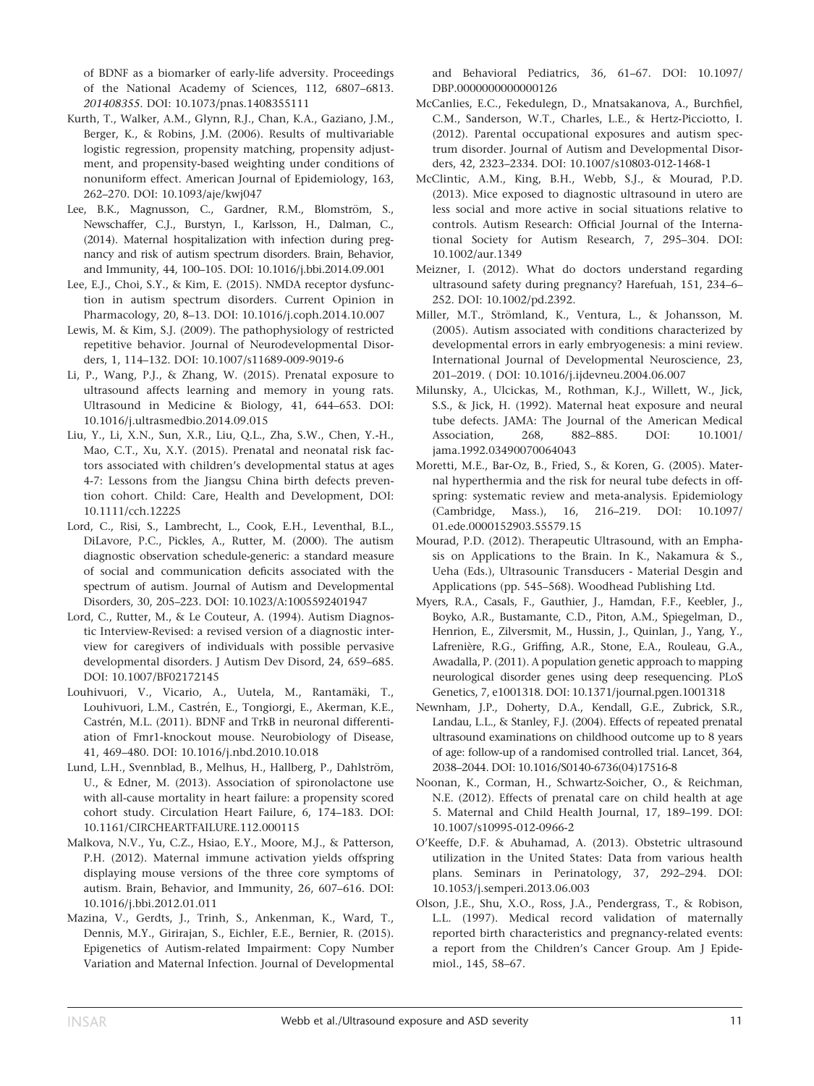of BDNF as a biomarker of early-life adversity. Proceedings of the National Academy of Sciences, 112, 6807–6813. 201408355. DOI: [10.1073/pnas.1408355111](info:doi/10.1073/pnas.1408355111)

- Kurth, T., Walker, A.M., Glynn, R.J., Chan, K.A., Gaziano, J.M., Berger, K., & Robins, J.M. (2006). Results of multivariable logistic regression, propensity matching, propensity adjustment, and propensity-based weighting under conditions of nonuniform effect. American Journal of Epidemiology, 163, 262–270. DOI: [10.1093/aje/kwj047](info:doi/10.1093/aje/kwj047)
- Lee, B.K., Magnusson, C., Gardner, R.M., Blomström, S., Newschaffer, C.J., Burstyn, I., Karlsson, H., Dalman, C., (2014). Maternal hospitalization with infection during pregnancy and risk of autism spectrum disorders. Brain, Behavior, and Immunity, 44, 100–105. DOI: [10.1016/j.bbi.2014.09.001](info:doi/10.1016/j.bbi.2014.09.001)
- Lee, E.J., Choi, S.Y., & Kim, E. (2015). NMDA receptor dysfunction in autism spectrum disorders. Current Opinion in Pharmacology, 20, 8–13. DOI: [10.1016/j.coph.2014.10.007](info:doi/10.1016/j.coph.2014.10.007)
- Lewis, M. & Kim, S.J. (2009). The pathophysiology of restricted repetitive behavior. Journal of Neurodevelopmental Disorders, 1, 114–132. DOI: [10.1007/s11689-009-9019-6](info:doi/10.1007/s11689-009-9019-6)
- Li, P., Wang, P.J., & Zhang, W. (2015). Prenatal exposure to ultrasound affects learning and memory in young rats. Ultrasound in Medicine & Biology, 41, 644–653. DOI: [10.1016/j.ultrasmedbio.2014.09.015](info:doi/10.1016/j.ultrasmedbio.2014.09.015)
- Liu, Y., Li, X.N., Sun, X.R., Liu, Q.L., Zha, S.W., Chen, Y.-H., Mao, C.T., Xu, X.Y. (2015). Prenatal and neonatal risk factors associated with children's developmental status at ages 4-7: Lessons from the Jiangsu China birth defects prevention cohort. Child: Care, Health and Development, DOI: [10.1111/cch.12225](info:doi/10.1111/cch.12225)
- Lord, C., Risi, S., Lambrecht, L., Cook, E.H., Leventhal, B.L., DiLavore, P.C., Pickles, A., Rutter, M. (2000). The autism diagnostic observation schedule-generic: a standard measure of social and communication deficits associated with the spectrum of autism. Journal of Autism and Developmental Disorders, 30, 205–223. DOI: [10.1023/A:1005592401947](info:doi/10.1023/A:1005592401947)
- Lord, C., Rutter, M., & Le Couteur, A. (1994). Autism Diagnostic Interview-Revised: a revised version of a diagnostic interview for caregivers of individuals with possible pervasive developmental disorders. J Autism Dev Disord, 24, 659–685. DOI: [10.1007/BF02172145](info:doi/10.1007/BF02172145)
- Louhivuori, V., Vicario, A., Uutela, M., Rantamäki, T., Louhivuori, L.M., Castrén, E., Tongiorgi, E., Akerman, K.E., Castrén, M.L. (2011). BDNF and TrkB in neuronal differentiation of Fmr1-knockout mouse. Neurobiology of Disease, 41, 469–480. DOI: [10.1016/j.nbd.2010.10.018](info:doi/10.1016/j.nbd.2010.10.018)
- Lund, L.H., Svennblad, B., Melhus, H., Hallberg, P., Dahlström, U., & Edner, M. (2013). Association of spironolactone use with all-cause mortality in heart failure: a propensity scored cohort study. Circulation Heart Failure, 6, 174–183. DOI: [10.1161/CIRCHEARTFAILURE.112.000115](info:doi/10.1161/CIRCHEARTFAILURE.112.000115)
- Malkova, N.V., Yu, C.Z., Hsiao, E.Y., Moore, M.J., & Patterson, P.H. (2012). Maternal immune activation yields offspring displaying mouse versions of the three core symptoms of autism. Brain, Behavior, and Immunity, 26, 607–616. DOI: [10.1016/j.bbi.2012.01.011](info:doi/10.1016/j.bbi.2012.01.011)
- Mazina, V., Gerdts, J., Trinh, S., Ankenman, K., Ward, T., Dennis, M.Y., Girirajan, S., Eichler, E.E., Bernier, R. (2015). Epigenetics of Autism-related Impairment: Copy Number Variation and Maternal Infection. Journal of Developmental

and Behavioral Pediatrics, 36, 61–67. DOI: [10.1097/](info:doi/10.1097/DBP.0000000000000126) [DBP.0000000000000126](info:doi/10.1097/DBP.0000000000000126)

- McCanlies, E.C., Fekedulegn, D., Mnatsakanova, A., Burchfiel, C.M., Sanderson, W.T., Charles, L.E., & Hertz-Picciotto, I. (2012). Parental occupational exposures and autism spectrum disorder. Journal of Autism and Developmental Disorders, 42, 2323–2334. DOI: [10.1007/s10803-012-1468-1](info:doi/10.1007/s10803-012-1468-1)
- McClintic, A.M., King, B.H., Webb, S.J., & Mourad, P.D. (2013). Mice exposed to diagnostic ultrasound in utero are less social and more active in social situations relative to controls. Autism Research: Official Journal of the International Society for Autism Research, 7, 295–304. DOI: [10.1002/aur.1349](info:doi/10.1002/aur.1349)
- Meizner, I. (2012). What do doctors understand regarding ultrasound safety during pregnancy? Harefuah, 151, 234–6– 252. DOI: [10.1002/pd.2392.](info:doi/10.1002/pd.2392)
- Miller, M.T., Strömland, K., Ventura, L., & Johansson, M. (2005). Autism associated with conditions characterized by developmental errors in early embryogenesis: a mini review. International Journal of Developmental Neuroscience, 23, 201–2019. ( DOI: [10.1016/j.ijdevneu.2004.06.007](info:doi/10.1016/j.ijdevneu.2004.06.007)
- Milunsky, A., Ulcickas, M., Rothman, K.J., Willett, W., Jick, S.S., & Jick, H. (1992). Maternal heat exposure and neural tube defects. JAMA: The Journal of the American Medical Association, 268, 882–885. DOI: [10.1001/](info:doi/10.1001/jama.1992.03490070064043) [jama.1992.03490070064043](info:doi/10.1001/jama.1992.03490070064043)
- Moretti, M.E., Bar-Oz, B., Fried, S., & Koren, G. (2005). Maternal hyperthermia and the risk for neural tube defects in offspring: systematic review and meta-analysis. Epidemiology (Cambridge, Mass.), 16, 216–219. DOI: [10.1097/](info:doi/10.1097/01.ede.0000152903.55579.15) [01.ede.0000152903.55579.15](info:doi/10.1097/01.ede.0000152903.55579.15)
- Mourad, P.D. (2012). Therapeutic Ultrasound, with an Emphasis on Applications to the Brain. In K., Nakamura & S., Ueha (Eds.), Ultrasounic Transducers - Material Desgin and Applications (pp. 545–568). Woodhead Publishing Ltd.
- Myers, R.A., Casals, F., Gauthier, J., Hamdan, F.F., Keebler, J., Boyko, A.R., Bustamante, C.D., Piton, A.M., Spiegelman, D., Henrion, E., Zilversmit, M., Hussin, J., Quinlan, J., Yang, Y., Lafrenière, R.G., Griffing, A.R., Stone, E.A., Rouleau, G.A., Awadalla, P. (2011). A population genetic approach to mapping neurological disorder genes using deep resequencing. PLoS Genetics, 7, e1001318. DOI: [10.1371/journal.pgen.1001318](info:doi/10.1371/journal.pgen.1001318)
- Newnham, J.P., Doherty, D.A., Kendall, G.E., Zubrick, S.R., Landau, L.L., & Stanley, F.J. (2004). Effects of repeated prenatal ultrasound examinations on childhood outcome up to 8 years of age: follow-up of a randomised controlled trial. Lancet, 364, 2038–2044. DOI: [10.1016/S0140-6736\(04\)17516-8](info:doi/10.1016/S0140-6736(04)17516-8)
- Noonan, K., Corman, H., Schwartz-Soicher, O., & Reichman, N.E. (2012). Effects of prenatal care on child health at age 5. Maternal and Child Health Journal, 17, 189–199. DOI: [10.1007/s10995-012-0966-2](info:doi/10.1007/s10995-012-0966-2)
- O'Keeffe, D.F. & Abuhamad, A. (2013). Obstetric ultrasound utilization in the United States: Data from various health plans. Seminars in Perinatology, 37, 292–294. DOI: [10.1053/j.semperi.2013.06.003](info:doi/10.1053/j.semperi.2013.06.003)
- Olson, J.E., Shu, X.O., Ross, J.A., Pendergrass, T., & Robison, L.L. (1997). Medical record validation of maternally reported birth characteristics and pregnancy-related events: a report from the Children's Cancer Group. Am J Epidemiol., 145, 58–67.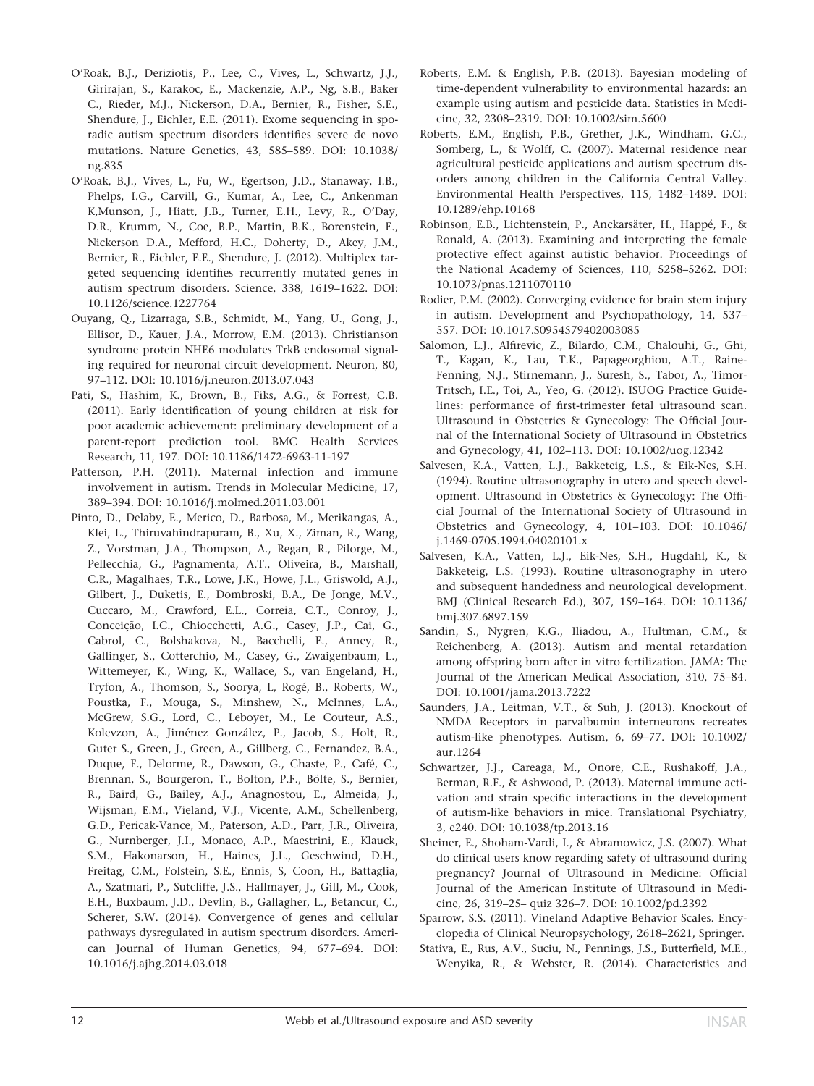- O'Roak, B.J., Deriziotis, P., Lee, C., Vives, L., Schwartz, J.J., Girirajan, S., Karakoc, E., Mackenzie, A.P., Ng, S.B., Baker C., Rieder, M.J., Nickerson, D.A., Bernier, R., Fisher, S.E., Shendure, J., Eichler, E.E. (2011). Exome sequencing in sporadic autism spectrum disorders identifies severe de novo mutations. Nature Genetics, 43, 585–589. DOI: [10.1038/](info:doi/10.1038/ng.835) [ng.835](info:doi/10.1038/ng.835)
- O'Roak, B.J., Vives, L., Fu, W., Egertson, J.D., Stanaway, I.B., Phelps, I.G., Carvill, G., Kumar, A., Lee, C., Ankenman K,Munson, J., Hiatt, J.B., Turner, E.H., Levy, R., O'Day, D.R., Krumm, N., Coe, B.P., Martin, B.K., Borenstein, E., Nickerson D.A., Mefford, H.C., Doherty, D., Akey, J.M., Bernier, R., Eichler, E.E., Shendure, J. (2012). Multiplex targeted sequencing identifies recurrently mutated genes in autism spectrum disorders. Science, 338, 1619–1622. DOI: [10.1126/science.1227764](info:doi/10.1126/science.1227764)
- Ouyang, Q., Lizarraga, S.B., Schmidt, M., Yang, U., Gong, J., Ellisor, D., Kauer, J.A., Morrow, E.M. (2013). Christianson syndrome protein NHE6 modulates TrkB endosomal signaling required for neuronal circuit development. Neuron, 80, 97–112. DOI: [10.1016/j.neuron.2013.07.043](info:doi/10.1016/j.neuron.2013.07.043)
- Pati, S., Hashim, K., Brown, B., Fiks, A.G., & Forrest, C.B. (2011). Early identification of young children at risk for poor academic achievement: preliminary development of a parent-report prediction tool. BMC Health Services Research, 11, 197. DOI: [10.1186/1472-6963-11-197](info:doi/10.1186/1472-6963-11-197)
- Patterson, P.H. (2011). Maternal infection and immune involvement in autism. Trends in Molecular Medicine, 17, 389–394. DOI: [10.1016/j.molmed.2011.03.001](info:doi/10.1016/j.molmed.2011.03.001)
- Pinto, D., Delaby, E., Merico, D., Barbosa, M., Merikangas, A., Klei, L., Thiruvahindrapuram, B., Xu, X., Ziman, R., Wang, Z., Vorstman, J.A., Thompson, A., Regan, R., Pilorge, M., Pellecchia, G., Pagnamenta, A.T., Oliveira, B., Marshall, C.R., Magalhaes, T.R., Lowe, J.K., Howe, J.L., Griswold, A.J., Gilbert, J., Duketis, E., Dombroski, B.A., De Jonge, M.V., Cuccaro, M., Crawford, E.L., Correia, C.T., Conroy, J., Conceição, I.C., Chiocchetti, A.G., Casey, J.P., Cai, G., Cabrol, C., Bolshakova, N., Bacchelli, E., Anney, R., Gallinger, S., Cotterchio, M., Casey, G., Zwaigenbaum, L., Wittemeyer, K., Wing, K., Wallace, S., van Engeland, H., Tryfon, A., Thomson, S., Soorya, L, Rogé, B., Roberts, W., Poustka, F., Mouga, S., Minshew, N., McInnes, L.A., McGrew, S.G., Lord, C., Leboyer, M., Le Couteur, A.S., Kolevzon, A., Jiménez González, P., Jacob, S., Holt, R., Guter S., Green, J., Green, A., Gillberg, C., Fernandez, B.A., Duque, F., Delorme, R., Dawson, G., Chaste, P., Café, C., Brennan, S., Bourgeron, T., Bolton, P.F., Bölte, S., Bernier, R., Baird, G., Bailey, A.J., Anagnostou, E., Almeida, J., Wijsman, E.M., Vieland, V.J., Vicente, A.M., Schellenberg, G.D., Pericak-Vance, M., Paterson, A.D., Parr, J.R., Oliveira, G., Nurnberger, J.I., Monaco, A.P., Maestrini, E., Klauck, S.M., Hakonarson, H., Haines, J.L., Geschwind, D.H., Freitag, C.M., Folstein, S.E., Ennis, S, Coon, H., Battaglia, A., Szatmari, P., Sutcliffe, J.S., Hallmayer, J., Gill, M., Cook, E.H., Buxbaum, J.D., Devlin, B., Gallagher, L., Betancur, C., Scherer, S.W. (2014). Convergence of genes and cellular pathways dysregulated in autism spectrum disorders. American Journal of Human Genetics, 94, 677–694. DOI: [10.1016/j.ajhg.2014.03.018](info:doi/10.1016/j.ajhg.2014.03.018)
- Roberts, E.M. & English, P.B. (2013). Bayesian modeling of time-dependent vulnerability to environmental hazards: an example using autism and pesticide data. Statistics in Medicine, 32, 2308–2319. DOI: [10.1002/sim.5600](info:doi/10.1002/sim.5600)
- Roberts, E.M., English, P.B., Grether, J.K., Windham, G.C., Somberg, L., & Wolff, C. (2007). Maternal residence near agricultural pesticide applications and autism spectrum disorders among children in the California Central Valley. Environmental Health Perspectives, 115, 1482–1489. DOI: [10.1289/ehp.10168](info:doi/10.1289/ehp.10168)
- Robinson, E.B., Lichtenstein, P., Anckarsäter, H., Happé, F., & Ronald, A. (2013). Examining and interpreting the female protective effect against autistic behavior. Proceedings of the National Academy of Sciences, 110, 5258–5262. DOI: [10.1073/pnas.1211070110](info:doi/10.1073/pnas.1211070110)
- Rodier, P.M. (2002). Converging evidence for brain stem injury in autism. Development and Psychopathology, 14, 537– 557. DOI: 10.1017.S0954579402003085
- Salomon, L.J., Alfirevic, Z., Bilardo, C.M., Chalouhi, G., Ghi, T., Kagan, K., Lau, T.K., Papageorghiou, A.T., Raine-Fenning, N.J., Stirnemann, J., Suresh, S., Tabor, A., Timor-Tritsch, I.E., Toi, A., Yeo, G. (2012). ISUOG Practice Guidelines: performance of first-trimester fetal ultrasound scan. Ultrasound in Obstetrics & Gynecology: The Official Journal of the International Society of Ultrasound in Obstetrics and Gynecology, 41, 102–113. DOI: [10.1002/uog.12342](info:doi/10.1002/uog.12342)
- Salvesen, K.A., Vatten, L.J., Bakketeig, L.S., & Eik-Nes, S.H. (1994). Routine ultrasonography in utero and speech development. Ultrasound in Obstetrics & Gynecology: The Official Journal of the International Society of Ultrasound in Obstetrics and Gynecology, 4, 101–103. DOI: [10.1046/](info:doi/10.1046/j.1469-0705.1994.04020101.x) [j.1469-0705.1994.04020101.x](info:doi/10.1046/j.1469-0705.1994.04020101.x)
- Salvesen, K.A., Vatten, L.J., Eik-Nes, S.H., Hugdahl, K., & Bakketeig, L.S. (1993). Routine ultrasonography in utero and subsequent handedness and neurological development. BMJ (Clinical Research Ed.), 307, 159–164. DOI: [10.1136/](info:doi/10.1136/bmj.307.6897.159) [bmj.307.6897.159](info:doi/10.1136/bmj.307.6897.159)
- Sandin, S., Nygren, K.G., Iliadou, A., Hultman, C.M., & Reichenberg, A. (2013). Autism and mental retardation among offspring born after in vitro fertilization. JAMA: The Journal of the American Medical Association, 310, 75–84. DOI: [10.1001/jama.2013.7222](info:doi/10.1001/jama.2013.7222)
- Saunders, J.A., Leitman, V.T., & Suh, J. (2013). Knockout of NMDA Receptors in parvalbumin interneurons recreates autism-like phenotypes. Autism, 6, 69–77. DOI: [10.1002/](info:doi/10.1002/aur.1264) [aur.1264](info:doi/10.1002/aur.1264)
- Schwartzer, J.J., Careaga, M., Onore, C.E., Rushakoff, J.A., Berman, R.F., & Ashwood, P. (2013). Maternal immune activation and strain specific interactions in the development of autism-like behaviors in mice. Translational Psychiatry, 3, e240. DOI: [10.1038/tp.2013.16](info:doi/10.1038/tp.2013.16)
- Sheiner, E., Shoham-Vardi, I., & Abramowicz, J.S. (2007). What do clinical users know regarding safety of ultrasound during pregnancy? Journal of Ultrasound in Medicine: Official Journal of the American Institute of Ultrasound in Medicine, 26, 319–25– quiz 326–7. DOI: [10.1002/pd.2392](info:doi/10.1002/pd.2392)
- Sparrow, S.S. (2011). Vineland Adaptive Behavior Scales. Encyclopedia of Clinical Neuropsychology, 2618–2621, Springer.
- Stativa, E., Rus, A.V., Suciu, N., Pennings, J.S., Butterfield, M.E., Wenyika, R., & Webster, R. (2014). Characteristics and